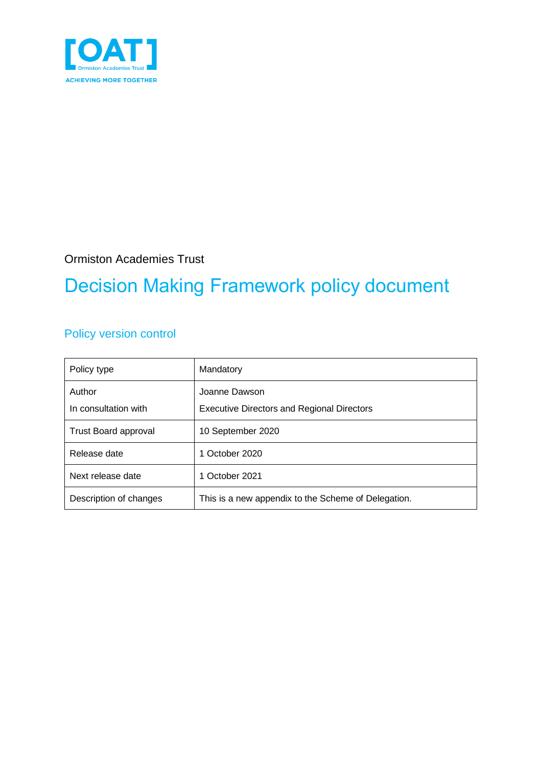

Ormiston Academies Trust

## Decision Making Framework policy document

### Policy version control

| Policy type                    | Mandatory                                                          |
|--------------------------------|--------------------------------------------------------------------|
| Author<br>In consultation with | Joanne Dawson<br><b>Executive Directors and Regional Directors</b> |
| <b>Trust Board approval</b>    | 10 September 2020                                                  |
| Release date                   | 1 October 2020                                                     |
| Next release date              | 1 October 2021                                                     |
| Description of changes         | This is a new appendix to the Scheme of Delegation.                |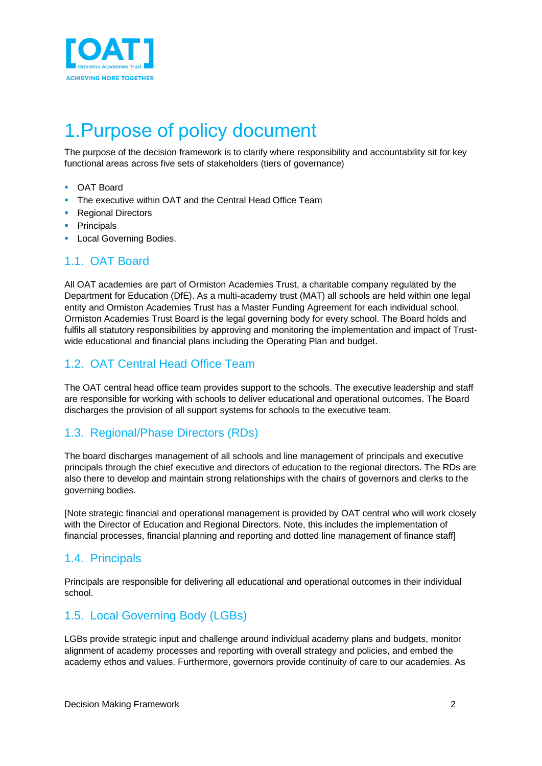

### 1.Purpose of policy document

The purpose of the decision framework is to clarify where responsibility and accountability sit for key functional areas across five sets of stakeholders (tiers of governance)

- OAT Board
- The executive within OAT and the Central Head Office Team
- Regional Directors
- Principals
- **Local Governing Bodies.**

#### 1.1. OAT Board

All OAT academies are part of Ormiston Academies Trust, a charitable company regulated by the Department for Education (DfE). As a multi-academy trust (MAT) all schools are held within one legal entity and Ormiston Academies Trust has a Master Funding Agreement for each individual school. Ormiston Academies Trust Board is the legal governing body for every school. The Board holds and fulfils all statutory responsibilities by approving and monitoring the implementation and impact of Trustwide educational and financial plans including the Operating Plan and budget.

#### 1.2. OAT Central Head Office Team

The OAT central head office team provides support to the schools. The executive leadership and staff are responsible for working with schools to deliver educational and operational outcomes. The Board discharges the provision of all support systems for schools to the executive team.

#### 1.3. Regional/Phase Directors (RDs)

The board discharges management of all schools and line management of principals and executive principals through the chief executive and directors of education to the regional directors. The RDs are also there to develop and maintain strong relationships with the chairs of governors and clerks to the governing bodies.

[Note strategic financial and operational management is provided by OAT central who will work closely with the Director of Education and Regional Directors. Note, this includes the implementation of financial processes, financial planning and reporting and dotted line management of finance staff]

#### 1.4. Principals

Principals are responsible for delivering all educational and operational outcomes in their individual school.

### 1.5. Local Governing Body (LGBs)

LGBs provide strategic input and challenge around individual academy plans and budgets, monitor alignment of academy processes and reporting with overall strategy and policies, and embed the academy ethos and values. Furthermore, governors provide continuity of care to our academies. As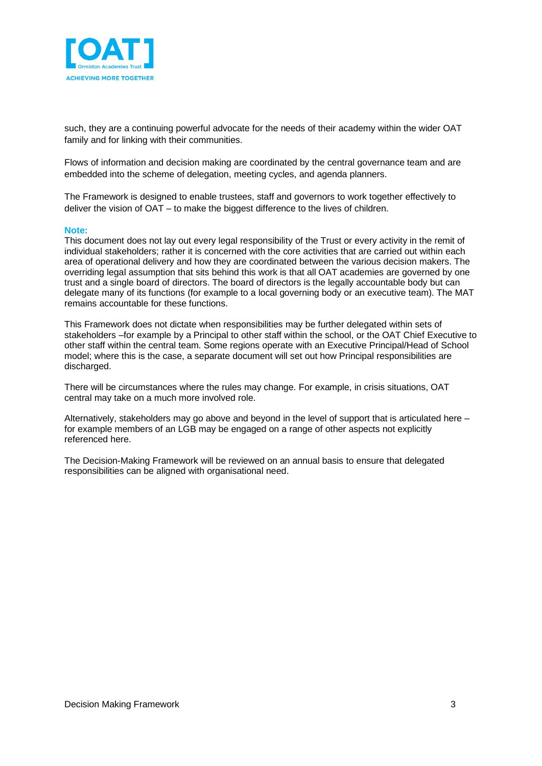

such, they are a continuing powerful advocate for the needs of their academy within the wider OAT family and for linking with their communities.

Flows of information and decision making are coordinated by the central governance team and are embedded into the scheme of delegation, meeting cycles, and agenda planners.

The Framework is designed to enable trustees, staff and governors to work together effectively to deliver the vision of OAT – to make the biggest difference to the lives of children.

#### **Note:**

This document does not lay out every legal responsibility of the Trust or every activity in the remit of individual stakeholders; rather it is concerned with the core activities that are carried out within each area of operational delivery and how they are coordinated between the various decision makers. The overriding legal assumption that sits behind this work is that all OAT academies are governed by one trust and a single board of directors. The board of directors is the legally accountable body but can delegate many of its functions (for example to a local governing body or an executive team). The MAT remains accountable for these functions.

This Framework does not dictate when responsibilities may be further delegated within sets of stakeholders –for example by a Principal to other staff within the school, or the OAT Chief Executive to other staff within the central team. Some regions operate with an Executive Principal/Head of School model; where this is the case, a separate document will set out how Principal responsibilities are discharged.

There will be circumstances where the rules may change. For example, in crisis situations, OAT central may take on a much more involved role.

Alternatively, stakeholders may go above and beyond in the level of support that is articulated here – for example members of an LGB may be engaged on a range of other aspects not explicitly referenced here.

The Decision-Making Framework will be reviewed on an annual basis to ensure that delegated responsibilities can be aligned with organisational need.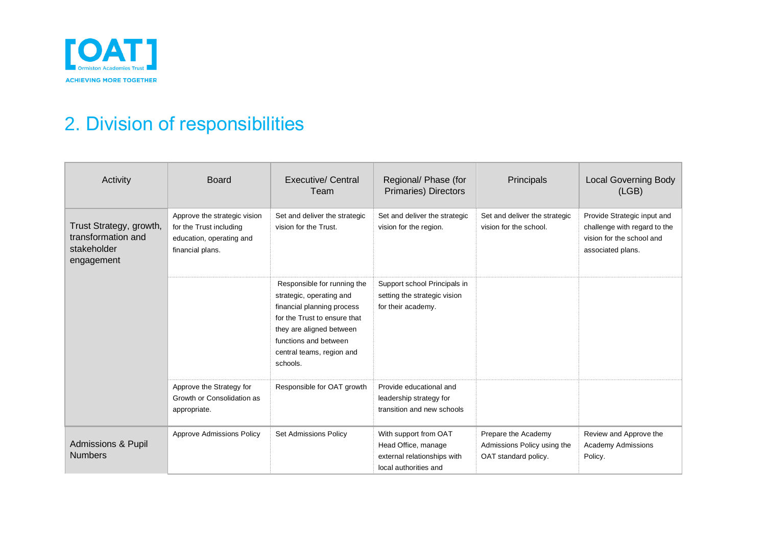

# 2. Division of responsibilities

| Activity                                                                   | <b>Board</b>                                                                                            | Executive/ Central<br>Team                                                                                                                                                                                          | Regional/ Phase (for<br>Primaries) Directors                                                         | Principals                                                                 | <b>Local Governing Body</b><br>(LGB)                                                                          |
|----------------------------------------------------------------------------|---------------------------------------------------------------------------------------------------------|---------------------------------------------------------------------------------------------------------------------------------------------------------------------------------------------------------------------|------------------------------------------------------------------------------------------------------|----------------------------------------------------------------------------|---------------------------------------------------------------------------------------------------------------|
| Trust Strategy, growth,<br>transformation and<br>stakeholder<br>engagement | Approve the strategic vision<br>for the Trust including<br>education, operating and<br>financial plans. | Set and deliver the strategic<br>vision for the Trust.                                                                                                                                                              | Set and deliver the strategic<br>vision for the region.                                              | Set and deliver the strategic<br>vision for the school.                    | Provide Strategic input and<br>challenge with regard to the<br>vision for the school and<br>associated plans. |
|                                                                            |                                                                                                         | Responsible for running the<br>strategic, operating and<br>financial planning process<br>for the Trust to ensure that<br>they are aligned between<br>functions and between<br>central teams, region and<br>schools. | Support school Principals in<br>setting the strategic vision<br>for their academy.                   |                                                                            |                                                                                                               |
|                                                                            | Approve the Strategy for<br>Growth or Consolidation as<br>appropriate.                                  | Responsible for OAT growth                                                                                                                                                                                          | Provide educational and<br>leadership strategy for<br>transition and new schools                     |                                                                            |                                                                                                               |
| <b>Admissions &amp; Pupil</b><br><b>Numbers</b>                            | <b>Approve Admissions Policy</b>                                                                        | <b>Set Admissions Policy</b>                                                                                                                                                                                        | With support from OAT<br>Head Office, manage<br>external relationships with<br>local authorities and | Prepare the Academy<br>Admissions Policy using the<br>OAT standard policy. | Review and Approve the<br><b>Academy Admissions</b><br>Policy.                                                |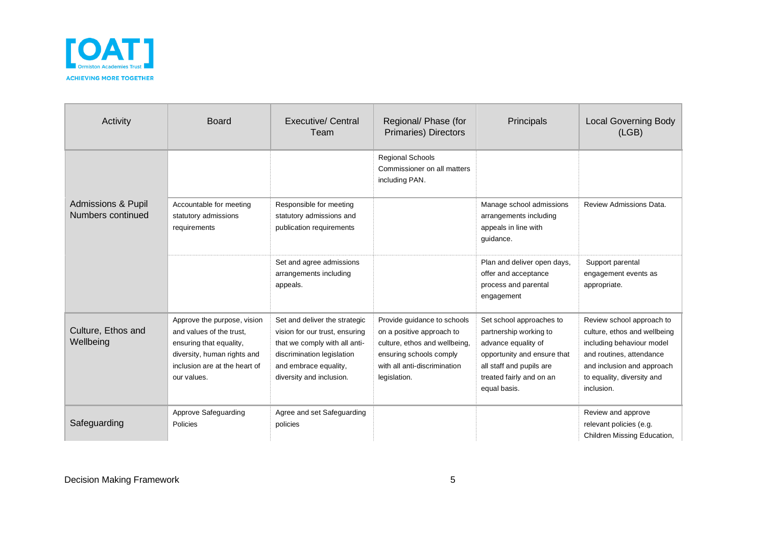

| Activity                                           | <b>Board</b>                                                                                                                                                      | <b>Executive/ Central</b><br>Team                                                                                                                                                   | Regional/ Phase (for<br><b>Primaries) Directors</b>                                                                                                                  | Principals                                                                                                                                                                       | <b>Local Governing Body</b><br>(LEB)                                                                                                                                                         |
|----------------------------------------------------|-------------------------------------------------------------------------------------------------------------------------------------------------------------------|-------------------------------------------------------------------------------------------------------------------------------------------------------------------------------------|----------------------------------------------------------------------------------------------------------------------------------------------------------------------|----------------------------------------------------------------------------------------------------------------------------------------------------------------------------------|----------------------------------------------------------------------------------------------------------------------------------------------------------------------------------------------|
|                                                    |                                                                                                                                                                   |                                                                                                                                                                                     | <b>Regional Schools</b><br>Commissioner on all matters<br>including PAN.                                                                                             |                                                                                                                                                                                  |                                                                                                                                                                                              |
| <b>Admissions &amp; Pupil</b><br>Numbers continued | Accountable for meeting<br>statutory admissions<br>requirements                                                                                                   | Responsible for meeting<br>statutory admissions and<br>publication requirements                                                                                                     |                                                                                                                                                                      | Manage school admissions<br>arrangements including<br>appeals in line with<br>guidance.                                                                                          | Review Admissions Data.                                                                                                                                                                      |
|                                                    |                                                                                                                                                                   | Set and agree admissions<br>arrangements including<br>appeals.                                                                                                                      |                                                                                                                                                                      | Plan and deliver open days,<br>offer and acceptance<br>process and parental<br>engagement                                                                                        | Support parental<br>engagement events as<br>appropriate.                                                                                                                                     |
| Culture, Ethos and<br>Wellbeing                    | Approve the purpose, vision<br>and values of the trust.<br>ensuring that equality,<br>diversity, human rights and<br>inclusion are at the heart of<br>our values. | Set and deliver the strategic<br>vision for our trust, ensuring<br>that we comply with all anti-<br>discrimination legislation<br>and embrace equality,<br>diversity and inclusion. | Provide guidance to schools<br>on a positive approach to<br>culture, ethos and wellbeing,<br>ensuring schools comply<br>with all anti-discrimination<br>legislation. | Set school approaches to<br>partnership working to<br>advance equality of<br>opportunity and ensure that<br>all staff and pupils are<br>treated fairly and on an<br>equal basis. | Review school approach to<br>culture, ethos and wellbeing<br>including behaviour model<br>and routines, attendance<br>and inclusion and approach<br>to equality, diversity and<br>inclusion. |
| Safeguarding                                       | Approve Safeguarding<br>Policies                                                                                                                                  | Agree and set Safeguarding<br>policies                                                                                                                                              |                                                                                                                                                                      |                                                                                                                                                                                  | Review and approve<br>relevant policies (e.g.<br>Children Missing Education,                                                                                                                 |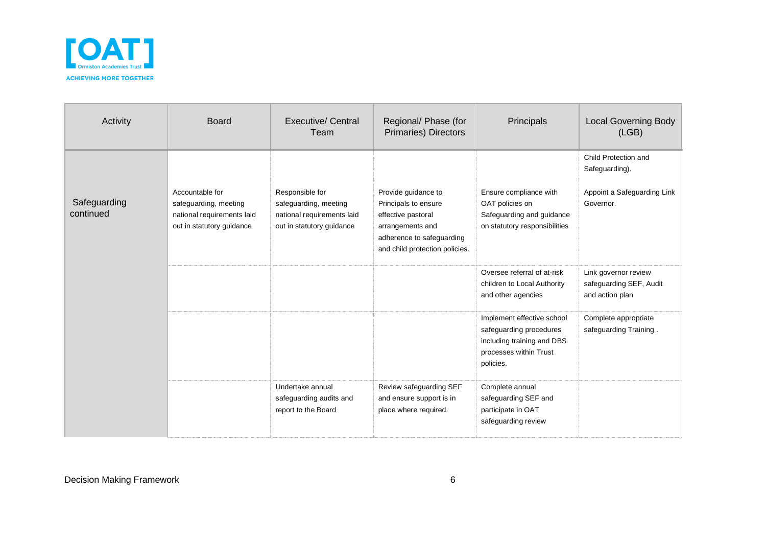

| Activity                  | <b>Board</b>                                                                                        | Executive/ Central<br>Team                                                                          | Regional/ Phase (for<br>Primaries) Directors                                                                       | Principals                                                                                                                 | <b>Local Governing Body</b><br>(LGB)                                               |
|---------------------------|-----------------------------------------------------------------------------------------------------|-----------------------------------------------------------------------------------------------------|--------------------------------------------------------------------------------------------------------------------|----------------------------------------------------------------------------------------------------------------------------|------------------------------------------------------------------------------------|
| Safeguarding<br>continued | Accountable for<br>safeguarding, meeting<br>national requirements laid<br>out in statutory guidance | Responsible for<br>safeguarding, meeting<br>national requirements laid<br>out in statutory guidance | Provide guidance to<br>Principals to ensure<br>effective pastoral<br>arrangements and<br>adherence to safeguarding | Ensure compliance with<br>OAT policies on<br>Safeguarding and guidance<br>on statutory responsibilities                    | Child Protection and<br>Safeguarding).<br>Appoint a Safeguarding Link<br>Governor. |
|                           |                                                                                                     |                                                                                                     | and child protection policies.                                                                                     | Oversee referral of at-risk<br>children to Local Authority<br>and other agencies                                           | Link governor review<br>safeguarding SEF, Audit<br>and action plan                 |
|                           |                                                                                                     |                                                                                                     |                                                                                                                    | Implement effective school<br>safeguarding procedures<br>including training and DBS<br>processes within Trust<br>policies. | Complete appropriate<br>safeguarding Training.                                     |
|                           |                                                                                                     | Undertake annual<br>safeguarding audits and<br>report to the Board                                  | Review safeguarding SEF<br>and ensure support is in<br>place where required.                                       | Complete annual<br>safeguarding SEF and<br>participate in OAT<br>safeguarding review                                       |                                                                                    |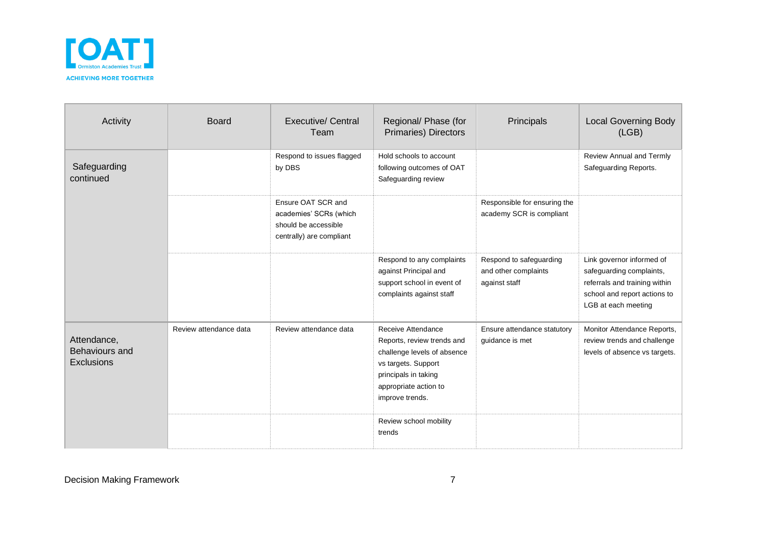

| Activity                                           | <b>Board</b>           | <b>Executive/ Central</b><br>Team                                                                | Regional/ Phase (for<br>Primaries) Directors                                                                                                                               | Principals                                                       | <b>Local Governing Body</b><br>(LEB)                                                                                                          |
|----------------------------------------------------|------------------------|--------------------------------------------------------------------------------------------------|----------------------------------------------------------------------------------------------------------------------------------------------------------------------------|------------------------------------------------------------------|-----------------------------------------------------------------------------------------------------------------------------------------------|
| Safeguarding<br>continued                          |                        | Respond to issues flagged<br>by DBS                                                              | Hold schools to account<br>following outcomes of OAT<br>Safeguarding review                                                                                                |                                                                  | Review Annual and Termly<br>Safeguarding Reports.                                                                                             |
|                                                    |                        | Ensure OAT SCR and<br>academies' SCRs (which<br>should be accessible<br>centrally) are compliant |                                                                                                                                                                            | Responsible for ensuring the<br>academy SCR is compliant         |                                                                                                                                               |
|                                                    |                        |                                                                                                  | Respond to any complaints<br>against Principal and<br>support school in event of<br>complaints against staff                                                               | Respond to safeguarding<br>and other complaints<br>against staff | Link governor informed of<br>safeguarding complaints,<br>referrals and training within<br>school and report actions to<br>LGB at each meeting |
| Attendance,<br>Behaviours and<br><b>Exclusions</b> | Review attendance data | Review attendance data                                                                           | Receive Attendance<br>Reports, review trends and<br>challenge levels of absence<br>vs targets. Support<br>principals in taking<br>appropriate action to<br>improve trends. | Ensure attendance statutory<br>guidance is met                   | Monitor Attendance Reports,<br>review trends and challenge<br>levels of absence vs targets.                                                   |
|                                                    |                        |                                                                                                  | Review school mobility<br>trends                                                                                                                                           |                                                                  |                                                                                                                                               |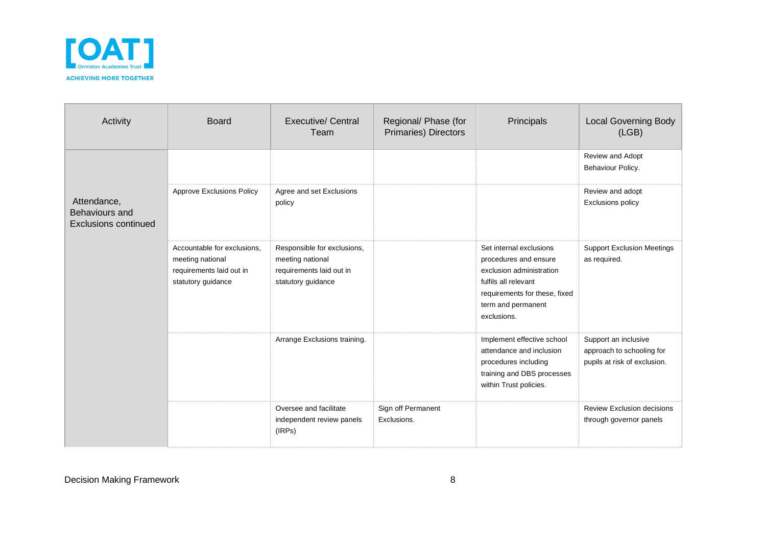

| Activity                                                     | <b>Board</b>                                                                                      | <b>Executive/ Central</b><br>Team                                                                 | Regional/ Phase (for<br>Primaries) Directors | Principals                                                                                                                                                                 | <b>Local Governing Body</b><br>(LGB)                                              |
|--------------------------------------------------------------|---------------------------------------------------------------------------------------------------|---------------------------------------------------------------------------------------------------|----------------------------------------------|----------------------------------------------------------------------------------------------------------------------------------------------------------------------------|-----------------------------------------------------------------------------------|
|                                                              |                                                                                                   |                                                                                                   |                                              |                                                                                                                                                                            | Review and Adopt<br>Behaviour Policy.                                             |
| Attendance,<br>Behaviours and<br><b>Exclusions continued</b> | Approve Exclusions Policy                                                                         | Agree and set Exclusions<br>policy                                                                |                                              |                                                                                                                                                                            | Review and adopt<br>Exclusions policy                                             |
|                                                              | Accountable for exclusions,<br>meeting national<br>requirements laid out in<br>statutory guidance | Responsible for exclusions,<br>meeting national<br>requirements laid out in<br>statutory guidance |                                              | Set internal exclusions<br>procedures and ensure<br>exclusion administration<br>fulfils all relevant<br>requirements for these, fixed<br>term and permanent<br>exclusions. | <b>Support Exclusion Meetings</b><br>as required.                                 |
|                                                              |                                                                                                   | Arrange Exclusions training.                                                                      |                                              | Implement effective school<br>attendance and inclusion<br>procedures including<br>training and DBS processes<br>within Trust policies.                                     | Support an inclusive<br>approach to schooling for<br>pupils at risk of exclusion. |
|                                                              |                                                                                                   | Oversee and facilitate<br>independent review panels<br>(IRPs)                                     | Sign off Permanent<br>Exclusions.            |                                                                                                                                                                            | <b>Review Exclusion decisions</b><br>through governor panels                      |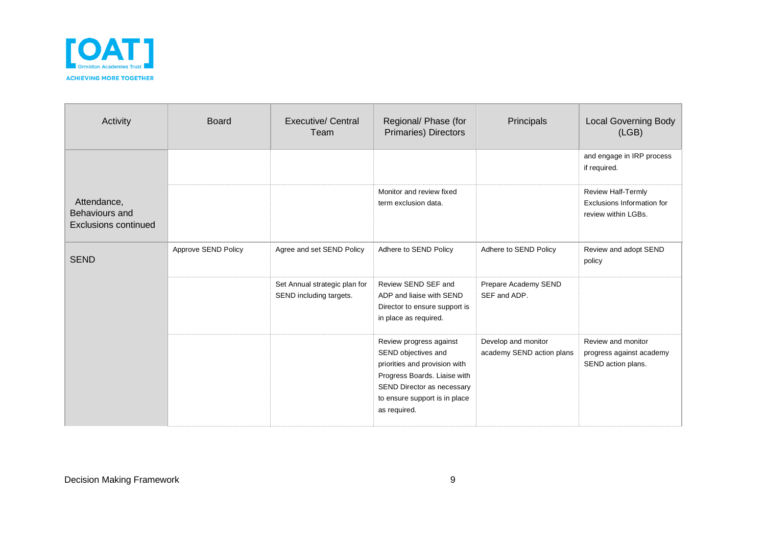

| Activity                                                     | <b>Board</b>        | Executive/ Central<br>Team                               | Regional/ Phase (for<br>Primaries) Directors                                                                                                                                                   | Principals                                       | <b>Local Governing Body</b><br>(LGB)                                    |
|--------------------------------------------------------------|---------------------|----------------------------------------------------------|------------------------------------------------------------------------------------------------------------------------------------------------------------------------------------------------|--------------------------------------------------|-------------------------------------------------------------------------|
|                                                              |                     |                                                          |                                                                                                                                                                                                |                                                  | and engage in IRP process<br>if required.                               |
| Attendance,<br>Behaviours and<br><b>Exclusions continued</b> |                     |                                                          | Monitor and review fixed<br>term exclusion data.                                                                                                                                               |                                                  | Review Half-Termly<br>Exclusions Information for<br>review within LGBs. |
| <b>SEND</b>                                                  | Approve SEND Policy | Agree and set SEND Policy                                | Adhere to SEND Policy                                                                                                                                                                          | Adhere to SEND Policy                            | Review and adopt SEND<br>policy                                         |
|                                                              |                     | Set Annual strategic plan for<br>SEND including targets. | Review SEND SEF and<br>ADP and liaise with SEND<br>Director to ensure support is<br>in place as required.                                                                                      | Prepare Academy SEND<br>SEF and ADP.             |                                                                         |
|                                                              |                     |                                                          | Review progress against<br>SEND objectives and<br>priorities and provision with<br>Progress Boards. Liaise with<br>SEND Director as necessary<br>to ensure support is in place<br>as required. | Develop and monitor<br>academy SEND action plans | Review and monitor<br>progress against academy<br>SEND action plans.    |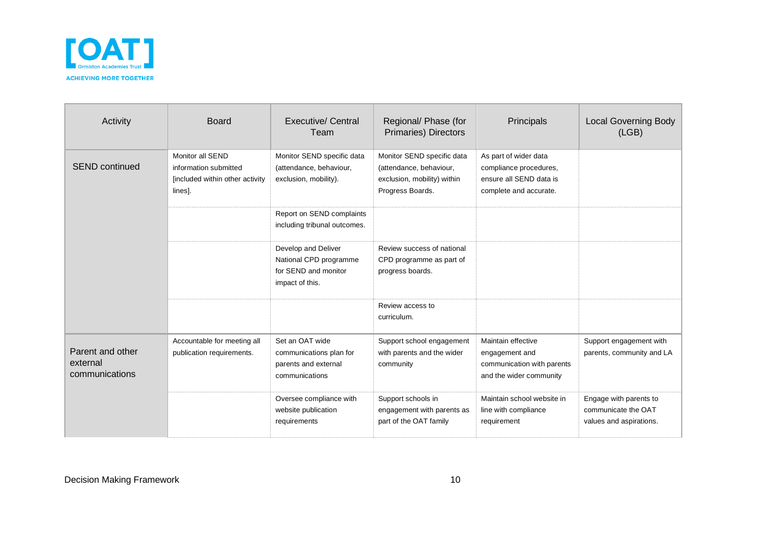

| Activity                                       | <b>Board</b>                                                                            | Executive/ Central<br>Team                                                               | Regional/ Phase (for<br><b>Primaries) Directors</b>                                                      | Principals                                                                                           | <b>Local Governing Body</b><br>(LGB)                                     |
|------------------------------------------------|-----------------------------------------------------------------------------------------|------------------------------------------------------------------------------------------|----------------------------------------------------------------------------------------------------------|------------------------------------------------------------------------------------------------------|--------------------------------------------------------------------------|
| <b>SEND continued</b>                          | Monitor all SEND<br>information submitted<br>[included within other activity<br>lines]. | Monitor SEND specific data<br>(attendance, behaviour,<br>exclusion, mobility).           | Monitor SEND specific data<br>(attendance, behaviour,<br>exclusion, mobility) within<br>Progress Boards. | As part of wider data<br>compliance procedures,<br>ensure all SEND data is<br>complete and accurate. |                                                                          |
|                                                |                                                                                         | Report on SEND complaints<br>including tribunal outcomes.                                |                                                                                                          |                                                                                                      |                                                                          |
|                                                |                                                                                         | Develop and Deliver<br>National CPD programme<br>for SEND and monitor<br>impact of this. | Review success of national<br>CPD programme as part of<br>progress boards.                               |                                                                                                      |                                                                          |
|                                                |                                                                                         |                                                                                          | Review access to<br>curriculum.                                                                          |                                                                                                      |                                                                          |
| Parent and other<br>external<br>communications | Accountable for meeting all<br>publication requirements.                                | Set an OAT wide<br>communications plan for<br>parents and external<br>communications     | Support school engagement<br>with parents and the wider<br>community                                     | Maintain effective<br>engagement and<br>communication with parents<br>and the wider community        | Support engagement with<br>parents, community and LA                     |
|                                                |                                                                                         | Oversee compliance with<br>website publication<br>requirements                           | Support schools in<br>engagement with parents as<br>part of the OAT family                               | Maintain school website in<br>line with compliance<br>requirement                                    | Engage with parents to<br>communicate the OAT<br>values and aspirations. |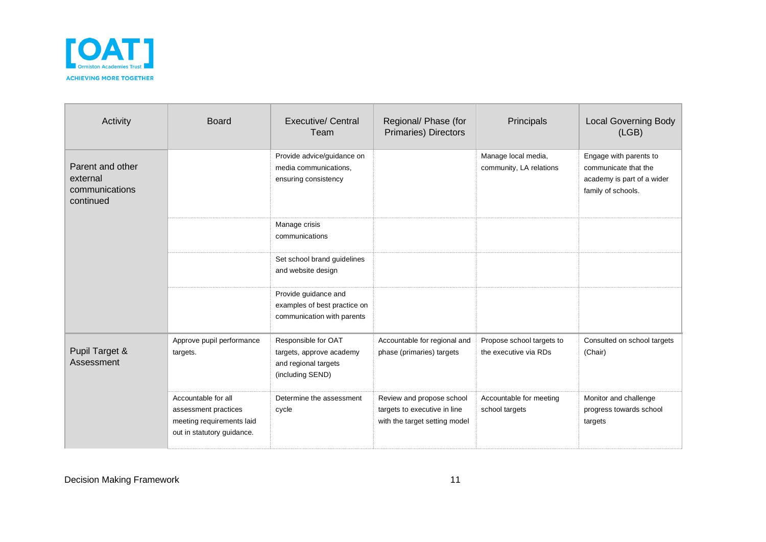

| Activity                                                    | <b>Board</b>                                                                                           | <b>Executive/ Central</b><br>Team                                                           | Regional/ Phase (for<br>Primaries) Directors                                               | Principals                                         | <b>Local Governing Body</b><br>(LGB)                                                               |
|-------------------------------------------------------------|--------------------------------------------------------------------------------------------------------|---------------------------------------------------------------------------------------------|--------------------------------------------------------------------------------------------|----------------------------------------------------|----------------------------------------------------------------------------------------------------|
| Parent and other<br>external<br>communications<br>continued |                                                                                                        | Provide advice/guidance on<br>media communications,<br>ensuring consistency                 |                                                                                            | Manage local media,<br>community, LA relations     | Engage with parents to<br>communicate that the<br>academy is part of a wider<br>family of schools. |
|                                                             |                                                                                                        | Manage crisis<br>communications                                                             |                                                                                            |                                                    |                                                                                                    |
|                                                             |                                                                                                        | Set school brand guidelines<br>and website design                                           |                                                                                            |                                                    |                                                                                                    |
|                                                             |                                                                                                        | Provide guidance and<br>examples of best practice on<br>communication with parents          |                                                                                            |                                                    |                                                                                                    |
| Pupil Target &<br>Assessment                                | Approve pupil performance<br>targets.                                                                  | Responsible for OAT<br>targets, approve academy<br>and regional targets<br>(including SEND) | Accountable for regional and<br>phase (primaries) targets                                  | Propose school targets to<br>the executive via RDs | Consulted on school targets<br>(Chair)                                                             |
|                                                             | Accountable for all<br>assessment practices<br>meeting requirements laid<br>out in statutory guidance. | Determine the assessment<br>cycle                                                           | Review and propose school<br>targets to executive in line<br>with the target setting model | Accountable for meeting<br>school targets          | Monitor and challenge<br>progress towards school<br>targets                                        |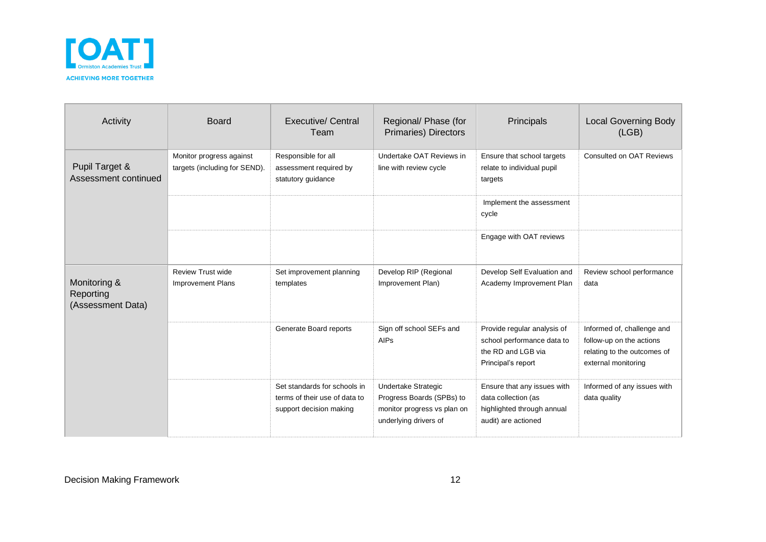

| Activity                                       | <b>Board</b>                                              | <b>Executive/ Central</b><br>Team                                                        | Regional/ Phase (for<br>Primaries) Directors                                                             | Principals                                                                                              | <b>Local Governing Body</b><br>(LGB)                                                                         |
|------------------------------------------------|-----------------------------------------------------------|------------------------------------------------------------------------------------------|----------------------------------------------------------------------------------------------------------|---------------------------------------------------------------------------------------------------------|--------------------------------------------------------------------------------------------------------------|
| Pupil Target &<br>Assessment continued         | Monitor progress against<br>targets (including for SEND). | Responsible for all<br>assessment required by<br>statutory guidance                      | Undertake OAT Reviews in<br>line with review cycle                                                       | Ensure that school targets<br>relate to individual pupil<br>targets                                     | <b>Consulted on OAT Reviews</b>                                                                              |
|                                                |                                                           |                                                                                          |                                                                                                          | Implement the assessment<br>cycle                                                                       |                                                                                                              |
|                                                |                                                           |                                                                                          |                                                                                                          | Engage with OAT reviews                                                                                 |                                                                                                              |
| Monitoring &<br>Reporting<br>(Assessment Data) | <b>Review Trust wide</b><br><b>Improvement Plans</b>      | Set improvement planning<br>templates                                                    | Develop RIP (Regional<br>Improvement Plan)                                                               | Develop Self Evaluation and<br>Academy Improvement Plan                                                 | Review school performance<br>data                                                                            |
|                                                |                                                           | Generate Board reports                                                                   | Sign off school SEFs and<br><b>AIPs</b>                                                                  | Provide regular analysis of<br>school performance data to<br>the RD and LGB via<br>Principal's report   | Informed of, challenge and<br>follow-up on the actions<br>relating to the outcomes of<br>external monitoring |
|                                                |                                                           | Set standards for schools in<br>terms of their use of data to<br>support decision making | Undertake Strategic<br>Progress Boards (SPBs) to<br>monitor progress vs plan on<br>underlying drivers of | Ensure that any issues with<br>data collection (as<br>highlighted through annual<br>audit) are actioned | Informed of any issues with<br>data quality                                                                  |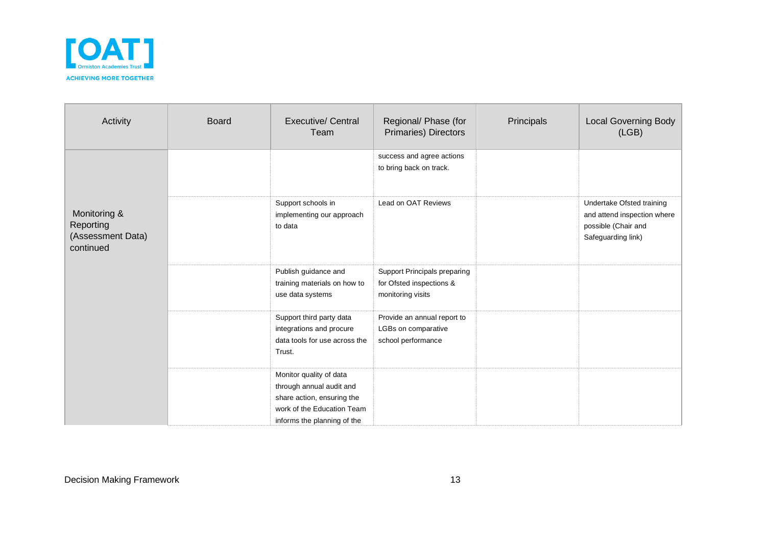

| Activity                                                    | <b>Board</b> | <b>Executive/ Central</b><br>Team                                                                                                              | Regional/ Phase (for<br>Primaries) Directors                                  | Principals | <b>Local Governing Body</b><br>(LGB)                                                                  |
|-------------------------------------------------------------|--------------|------------------------------------------------------------------------------------------------------------------------------------------------|-------------------------------------------------------------------------------|------------|-------------------------------------------------------------------------------------------------------|
|                                                             |              |                                                                                                                                                | success and agree actions<br>to bring back on track.                          |            |                                                                                                       |
| Monitoring &<br>Reporting<br>(Assessment Data)<br>continued |              | Support schools in<br>implementing our approach<br>to data                                                                                     | Lead on OAT Reviews                                                           |            | Undertake Ofsted training<br>and attend inspection where<br>possible (Chair and<br>Safeguarding link) |
|                                                             |              | Publish guidance and<br>training materials on how to<br>use data systems                                                                       | Support Principals preparing<br>for Ofsted inspections &<br>monitoring visits |            |                                                                                                       |
|                                                             |              | Support third party data<br>integrations and procure<br>data tools for use across the<br>Trust.                                                | Provide an annual report to<br>LGBs on comparative<br>school performance      |            |                                                                                                       |
|                                                             |              | Monitor quality of data<br>through annual audit and<br>share action, ensuring the<br>work of the Education Team<br>informs the planning of the |                                                                               |            |                                                                                                       |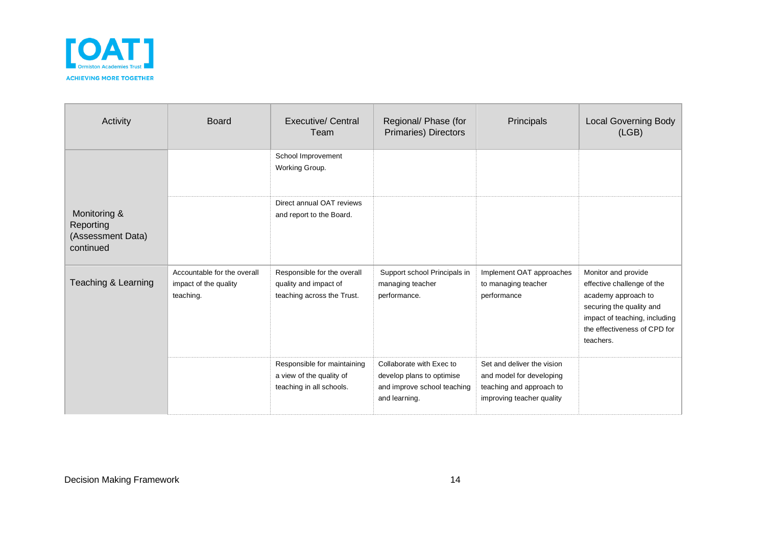

| Activity                                                    | <b>Board</b>                                                      | Executive/ Central<br>Team                                                          | Regional/ Phase (for<br>Primaries) Directors                                                          | Principals                                                                                                      | <b>Local Governing Body</b><br>(LGB)                                                                                                                                               |
|-------------------------------------------------------------|-------------------------------------------------------------------|-------------------------------------------------------------------------------------|-------------------------------------------------------------------------------------------------------|-----------------------------------------------------------------------------------------------------------------|------------------------------------------------------------------------------------------------------------------------------------------------------------------------------------|
|                                                             |                                                                   | School Improvement<br>Working Group.                                                |                                                                                                       |                                                                                                                 |                                                                                                                                                                                    |
| Monitoring &<br>Reporting<br>(Assessment Data)<br>continued |                                                                   | Direct annual OAT reviews<br>and report to the Board.                               |                                                                                                       |                                                                                                                 |                                                                                                                                                                                    |
| Teaching & Learning                                         | Accountable for the overall<br>impact of the quality<br>teaching. | Responsible for the overall<br>quality and impact of<br>teaching across the Trust.  | Support school Principals in<br>managing teacher<br>performance.                                      | Implement OAT approaches<br>to managing teacher<br>performance                                                  | Monitor and provide<br>effective challenge of the<br>academy approach to<br>securing the quality and<br>impact of teaching, including<br>the effectiveness of CPD for<br>teachers. |
|                                                             |                                                                   | Responsible for maintaining<br>a view of the quality of<br>teaching in all schools. | Collaborate with Exec to<br>develop plans to optimise<br>and improve school teaching<br>and learning. | Set and deliver the vision<br>and model for developing<br>teaching and approach to<br>improving teacher quality |                                                                                                                                                                                    |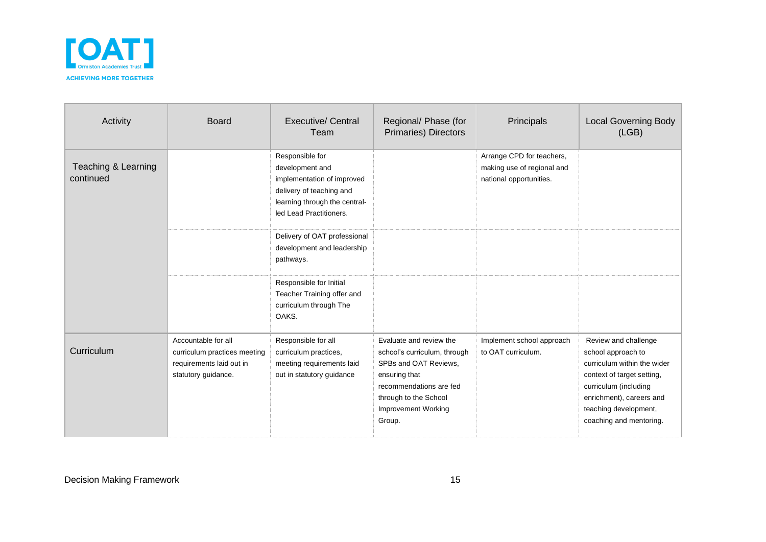

| Activity                         | <b>Board</b>                                                                                           | <b>Executive/ Central</b><br>Team                                                                                                                        | Regional/ Phase (for<br>Primaries) Directors                                                                                                                                                  | Principals                                                                         | <b>Local Governing Body</b><br>(LGB)                                                                                                                                                                             |
|----------------------------------|--------------------------------------------------------------------------------------------------------|----------------------------------------------------------------------------------------------------------------------------------------------------------|-----------------------------------------------------------------------------------------------------------------------------------------------------------------------------------------------|------------------------------------------------------------------------------------|------------------------------------------------------------------------------------------------------------------------------------------------------------------------------------------------------------------|
| Teaching & Learning<br>continued |                                                                                                        | Responsible for<br>development and<br>implementation of improved<br>delivery of teaching and<br>learning through the central-<br>led Lead Practitioners. |                                                                                                                                                                                               | Arrange CPD for teachers,<br>making use of regional and<br>national opportunities. |                                                                                                                                                                                                                  |
|                                  |                                                                                                        | Delivery of OAT professional<br>development and leadership<br>pathways.                                                                                  |                                                                                                                                                                                               |                                                                                    |                                                                                                                                                                                                                  |
|                                  |                                                                                                        | Responsible for Initial<br>Teacher Training offer and<br>curriculum through The<br>OAKS.                                                                 |                                                                                                                                                                                               |                                                                                    |                                                                                                                                                                                                                  |
| Curriculum                       | Accountable for all<br>curriculum practices meeting<br>requirements laid out in<br>statutory guidance. | Responsible for all<br>curriculum practices,<br>meeting requirements laid<br>out in statutory guidance                                                   | Evaluate and review the<br>school's curriculum, through<br>SPBs and OAT Reviews,<br>ensuring that<br>recommendations are fed<br>through to the School<br><b>Improvement Working</b><br>Group. | Implement school approach<br>to OAT curriculum.                                    | Review and challenge<br>school approach to<br>curriculum within the wider<br>context of target setting,<br>curriculum (including<br>enrichment), careers and<br>teaching development,<br>coaching and mentoring. |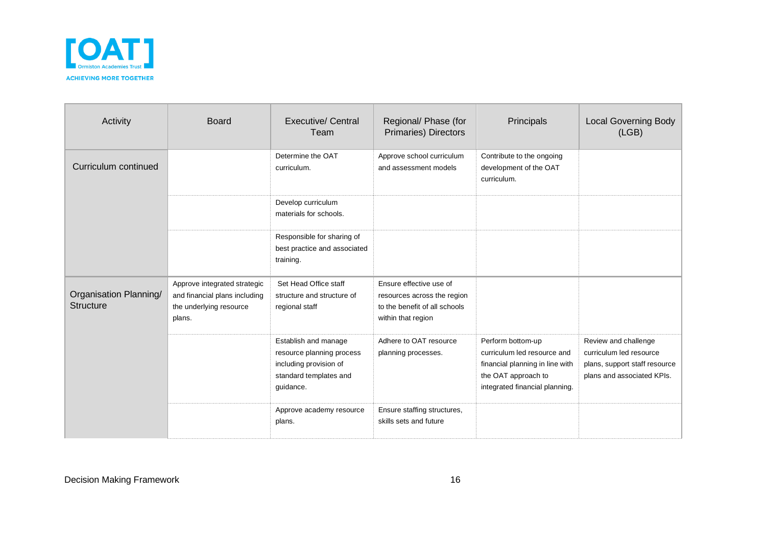

| Activity                                   | <b>Board</b>                                                                                       | Executive/ Central<br>Team                                                                                         | Regional/ Phase (for<br>Primaries) Directors                                                                  | Principals                                                                                                                                   | <b>Local Governing Body</b><br>(LGB)                                                                           |
|--------------------------------------------|----------------------------------------------------------------------------------------------------|--------------------------------------------------------------------------------------------------------------------|---------------------------------------------------------------------------------------------------------------|----------------------------------------------------------------------------------------------------------------------------------------------|----------------------------------------------------------------------------------------------------------------|
| Curriculum continued                       |                                                                                                    | Determine the OAT<br>curriculum.                                                                                   | Approve school curriculum<br>and assessment models                                                            | Contribute to the ongoing<br>development of the OAT<br>curriculum.                                                                           |                                                                                                                |
|                                            |                                                                                                    | Develop curriculum<br>materials for schools.                                                                       |                                                                                                               |                                                                                                                                              |                                                                                                                |
|                                            |                                                                                                    | Responsible for sharing of<br>best practice and associated<br>training.                                            |                                                                                                               |                                                                                                                                              |                                                                                                                |
| Organisation Planning/<br><b>Structure</b> | Approve integrated strategic<br>and financial plans including<br>the underlying resource<br>plans. | Set Head Office staff<br>structure and structure of<br>regional staff                                              | Ensure effective use of<br>resources across the region<br>to the benefit of all schools<br>within that region |                                                                                                                                              |                                                                                                                |
|                                            |                                                                                                    | Establish and manage<br>resource planning process<br>including provision of<br>standard templates and<br>guidance. | Adhere to OAT resource<br>planning processes.                                                                 | Perform bottom-up<br>curriculum led resource and<br>financial planning in line with<br>the OAT approach to<br>integrated financial planning. | Review and challenge<br>curriculum led resource<br>plans, support staff resource<br>plans and associated KPIs. |
|                                            |                                                                                                    | Approve academy resource<br>plans.                                                                                 | Ensure staffing structures,<br>skills sets and future                                                         |                                                                                                                                              |                                                                                                                |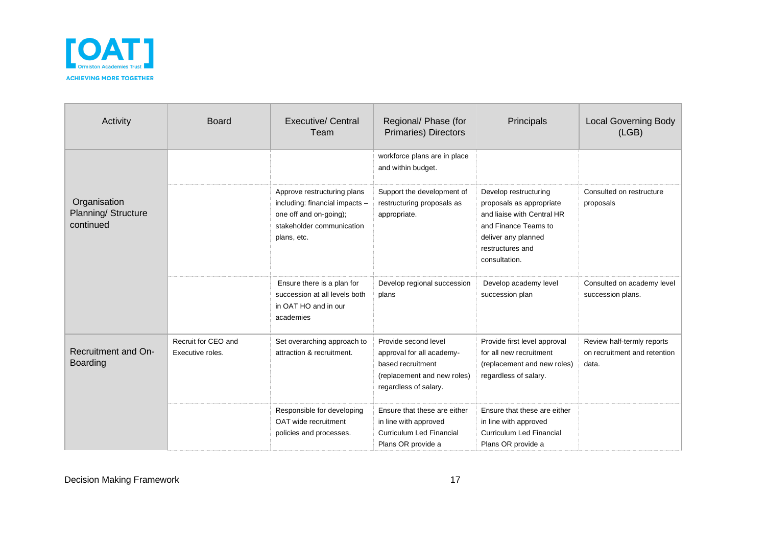

| Activity                                         | <b>Board</b>                            | <b>Executive/ Central</b><br>Team                                                                                                   | Regional/ Phase (for<br><b>Primaries) Directors</b>                                                                            | Principals                                                                                                                                                          | <b>Local Governing Body</b><br>(LGB)                                |
|--------------------------------------------------|-----------------------------------------|-------------------------------------------------------------------------------------------------------------------------------------|--------------------------------------------------------------------------------------------------------------------------------|---------------------------------------------------------------------------------------------------------------------------------------------------------------------|---------------------------------------------------------------------|
|                                                  |                                         |                                                                                                                                     | workforce plans are in place<br>and within budget.                                                                             |                                                                                                                                                                     |                                                                     |
| Organisation<br>Planning/ Structure<br>continued |                                         | Approve restructuring plans<br>including: financial impacts -<br>one off and on-going);<br>stakeholder communication<br>plans, etc. | Support the development of<br>restructuring proposals as<br>appropriate.                                                       | Develop restructuring<br>proposals as appropriate<br>and liaise with Central HR<br>and Finance Teams to<br>deliver any planned<br>restructures and<br>consultation. | Consulted on restructure<br>proposals                               |
|                                                  |                                         | Ensure there is a plan for<br>succession at all levels both<br>in OAT HO and in our<br>academies                                    | Develop regional succession<br>plans                                                                                           | Develop academy level<br>succession plan                                                                                                                            | Consulted on academy level<br>succession plans.                     |
| <b>Recruitment and On-</b><br><b>Boarding</b>    | Recruit for CEO and<br>Executive roles. | Set overarching approach to<br>attraction & recruitment.                                                                            | Provide second level<br>approval for all academy-<br>based recruitment<br>(replacement and new roles)<br>regardless of salary. | Provide first level approval<br>for all new recruitment<br>(replacement and new roles)<br>regardless of salary.                                                     | Review half-termly reports<br>on recruitment and retention<br>data. |
|                                                  |                                         | Responsible for developing<br>OAT wide recruitment<br>policies and processes.                                                       | Ensure that these are either<br>in line with approved<br><b>Curriculum Led Financial</b><br>Plans OR provide a                 | Ensure that these are either<br>in line with approved<br><b>Curriculum Led Financial</b><br>Plans OR provide a                                                      |                                                                     |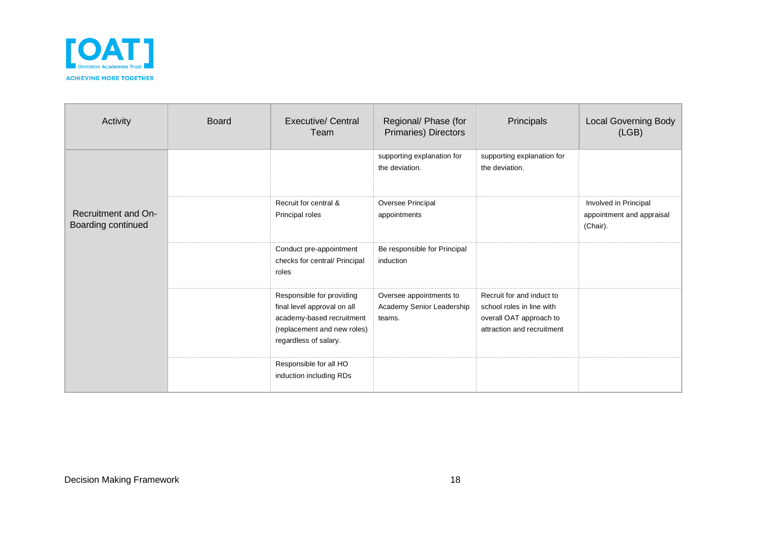

| Activity                                  | <b>Board</b> | <b>Executive/ Central</b><br>Team                                                                                                             | Regional/ Phase (for<br>Primaries) Directors                   | Principals                                                                                                      | <b>Local Governing Body</b><br>(LGB)                           |
|-------------------------------------------|--------------|-----------------------------------------------------------------------------------------------------------------------------------------------|----------------------------------------------------------------|-----------------------------------------------------------------------------------------------------------------|----------------------------------------------------------------|
|                                           |              |                                                                                                                                               | supporting explanation for<br>the deviation.                   | supporting explanation for<br>the deviation.                                                                    |                                                                |
| Recruitment and On-<br>Boarding continued |              | Recruit for central &<br>Principal roles                                                                                                      | Oversee Principal<br>appointments                              |                                                                                                                 | Involved in Principal<br>appointment and appraisal<br>(Chair). |
|                                           |              | Conduct pre-appointment<br>checks for central/ Principal<br>roles                                                                             | Be responsible for Principal<br>induction                      |                                                                                                                 |                                                                |
|                                           |              | Responsible for providing<br>final level approval on all<br>academy-based recruitment<br>(replacement and new roles)<br>regardless of salary. | Oversee appointments to<br>Academy Senior Leadership<br>teams. | Recruit for and induct to<br>school roles in line with<br>overall OAT approach to<br>attraction and recruitment |                                                                |
|                                           |              | Responsible for all HO<br>induction including RDs                                                                                             |                                                                |                                                                                                                 |                                                                |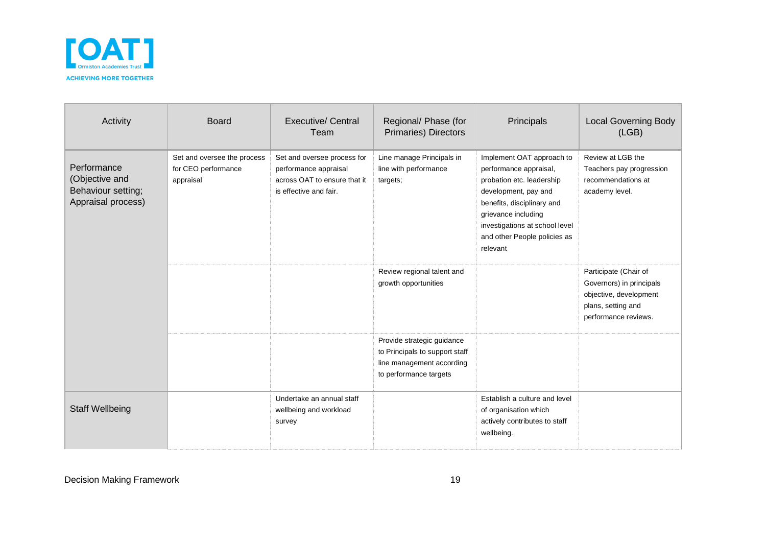

| Activity                                                                  | <b>Board</b>                                                    | Executive/ Central<br>Team                                                                                     | Regional/ Phase (for<br>Primaries) Directors                                                                        | Principals                                                                                                                                                                                                                                  | <b>Local Governing Body</b><br>(LGB)                                                                                      |
|---------------------------------------------------------------------------|-----------------------------------------------------------------|----------------------------------------------------------------------------------------------------------------|---------------------------------------------------------------------------------------------------------------------|---------------------------------------------------------------------------------------------------------------------------------------------------------------------------------------------------------------------------------------------|---------------------------------------------------------------------------------------------------------------------------|
| Performance<br>(Objective and<br>Behaviour setting;<br>Appraisal process) | Set and oversee the process<br>for CEO performance<br>appraisal | Set and oversee process for<br>performance appraisal<br>across OAT to ensure that it<br>is effective and fair. | Line manage Principals in<br>line with performance<br>targets;                                                      | Implement OAT approach to<br>performance appraisal,<br>probation etc. leadership<br>development, pay and<br>benefits, disciplinary and<br>grievance including<br>investigations at school level<br>and other People policies as<br>relevant | Review at LGB the<br>Teachers pay progression<br>recommendations at<br>academy level.                                     |
|                                                                           |                                                                 |                                                                                                                | Review regional talent and<br>growth opportunities                                                                  |                                                                                                                                                                                                                                             | Participate (Chair of<br>Governors) in principals<br>objective, development<br>plans, setting and<br>performance reviews. |
|                                                                           |                                                                 |                                                                                                                | Provide strategic guidance<br>to Principals to support staff<br>line management according<br>to performance targets |                                                                                                                                                                                                                                             |                                                                                                                           |
| <b>Staff Wellbeing</b>                                                    |                                                                 | Undertake an annual staff<br>wellbeing and workload<br>survey                                                  |                                                                                                                     | Establish a culture and level<br>of organisation which<br>actively contributes to staff<br>wellbeing.                                                                                                                                       |                                                                                                                           |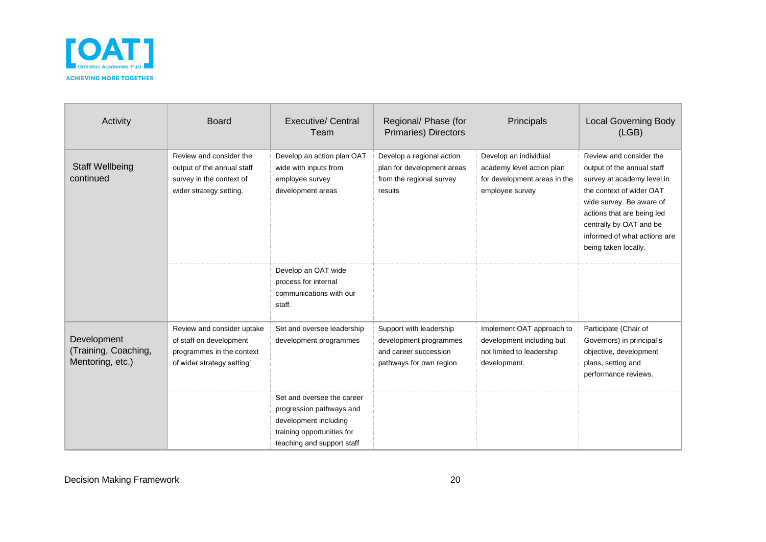

| Activity                                                | <b>Board</b>                                                                                                     | <b>Executive/ Central</b><br>Team                                                                                                           | Regional/ Phase (for<br><b>Primaries) Directors</b>                                                   | Principals                                                                                            | <b>Local Governing Body</b><br>(LEB)                                                                                                                                                                                                                         |
|---------------------------------------------------------|------------------------------------------------------------------------------------------------------------------|---------------------------------------------------------------------------------------------------------------------------------------------|-------------------------------------------------------------------------------------------------------|-------------------------------------------------------------------------------------------------------|--------------------------------------------------------------------------------------------------------------------------------------------------------------------------------------------------------------------------------------------------------------|
| <b>Staff Wellbeing</b><br>continued                     | Review and consider the<br>output of the annual staff<br>survey in the context of<br>wider strategy setting.     | Develop an action plan OAT<br>wide with inputs from<br>employee survey<br>development areas                                                 | Develop a regional action<br>plan for development areas<br>from the regional survey<br>results        | Develop an individual<br>academy level action plan<br>for development areas in the<br>employee survey | Review and consider the<br>output of the annual staff<br>survey at academy level in<br>the context of wider OAT<br>wide survey. Be aware of<br>actions that are being led<br>centrally by OAT and be<br>informed of what actions are<br>being taken locally. |
|                                                         |                                                                                                                  | Develop an OAT wide<br>process for internal<br>communications with our<br>staff.                                                            |                                                                                                       |                                                                                                       |                                                                                                                                                                                                                                                              |
| Development<br>(Training, Coaching,<br>Mentoring, etc.) | Review and consider uptake<br>of staff on development<br>programmes in the context<br>of wider strategy setting' | Set and oversee leadership<br>development programmes                                                                                        | Support with leadership<br>development programmes<br>and career succession<br>pathways for own region | Implement OAT approach to<br>development including but<br>not limited to leadership<br>development.   | Participate (Chair of<br>Governors) in principal's<br>objective, development<br>plans, setting and<br>performance reviews.                                                                                                                                   |
|                                                         |                                                                                                                  | Set and oversee the career<br>progression pathways and<br>development including<br>training opportunities for<br>teaching and support staff |                                                                                                       |                                                                                                       |                                                                                                                                                                                                                                                              |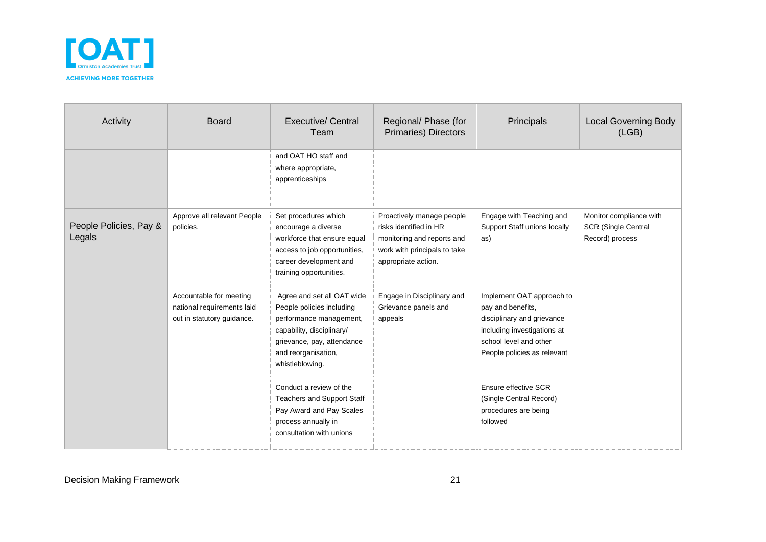

| Activity                         | <b>Board</b>                                                                        | <b>Executive/ Central</b><br>Team                                                                                                                                                       | Regional/ Phase (for<br><b>Primaries) Directors</b>                                                                                      | Principals                                                                                                                                                           | <b>Local Governing Body</b><br>(LEB)                                     |
|----------------------------------|-------------------------------------------------------------------------------------|-----------------------------------------------------------------------------------------------------------------------------------------------------------------------------------------|------------------------------------------------------------------------------------------------------------------------------------------|----------------------------------------------------------------------------------------------------------------------------------------------------------------------|--------------------------------------------------------------------------|
|                                  |                                                                                     | and OAT HO staff and<br>where appropriate,<br>apprenticeships                                                                                                                           |                                                                                                                                          |                                                                                                                                                                      |                                                                          |
| People Policies, Pay &<br>Legals | Approve all relevant People<br>policies.                                            | Set procedures which<br>encourage a diverse<br>workforce that ensure equal<br>access to job opportunities,<br>career development and<br>training opportunities.                         | Proactively manage people<br>risks identified in HR<br>monitoring and reports and<br>work with principals to take<br>appropriate action. | Engage with Teaching and<br>Support Staff unions locally<br>as)                                                                                                      | Monitor compliance with<br><b>SCR (Single Central</b><br>Record) process |
|                                  | Accountable for meeting<br>national requirements laid<br>out in statutory guidance. | Agree and set all OAT wide<br>People policies including<br>performance management,<br>capability, disciplinary/<br>grievance, pay, attendance<br>and reorganisation,<br>whistleblowing. | Engage in Disciplinary and<br>Grievance panels and<br>appeals                                                                            | Implement OAT approach to<br>pay and benefits,<br>disciplinary and grievance<br>including investigations at<br>school level and other<br>People policies as relevant |                                                                          |
|                                  |                                                                                     | Conduct a review of the<br><b>Teachers and Support Staff</b><br>Pay Award and Pay Scales<br>process annually in<br>consultation with unions                                             |                                                                                                                                          | Ensure effective SCR<br>(Single Central Record)<br>procedures are being<br>followed                                                                                  |                                                                          |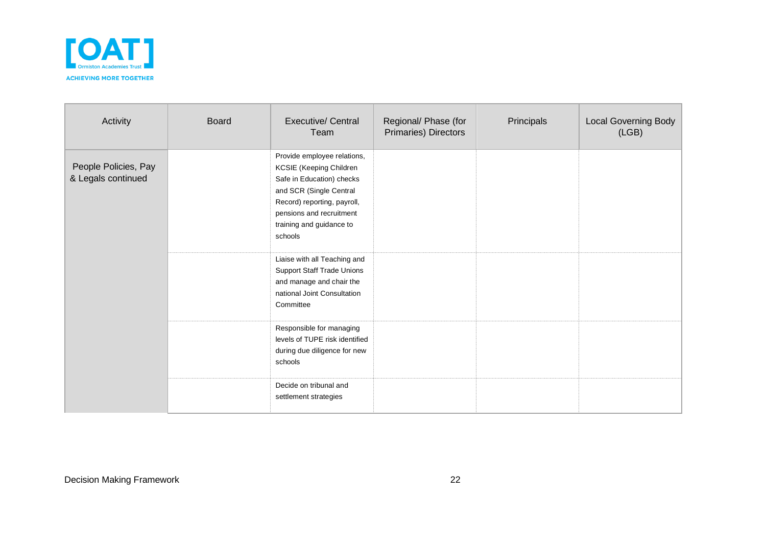

| Activity                                   | <b>Board</b> | <b>Executive/ Central</b><br>Team                                                                                                                                                                                | Regional/ Phase (for<br>Primaries) Directors | Principals | <b>Local Governing Body</b><br>(LGB) |
|--------------------------------------------|--------------|------------------------------------------------------------------------------------------------------------------------------------------------------------------------------------------------------------------|----------------------------------------------|------------|--------------------------------------|
| People Policies, Pay<br>& Legals continued |              | Provide employee relations,<br>KCSIE (Keeping Children<br>Safe in Education) checks<br>and SCR (Single Central<br>Record) reporting, payroll,<br>pensions and recruitment<br>training and guidance to<br>schools |                                              |            |                                      |
|                                            |              | Liaise with all Teaching and<br><b>Support Staff Trade Unions</b><br>and manage and chair the<br>national Joint Consultation<br>Committee                                                                        |                                              |            |                                      |
|                                            |              | Responsible for managing<br>levels of TUPE risk identified<br>during due diligence for new<br>schools                                                                                                            |                                              |            |                                      |
|                                            |              | Decide on tribunal and<br>settlement strategies                                                                                                                                                                  |                                              |            |                                      |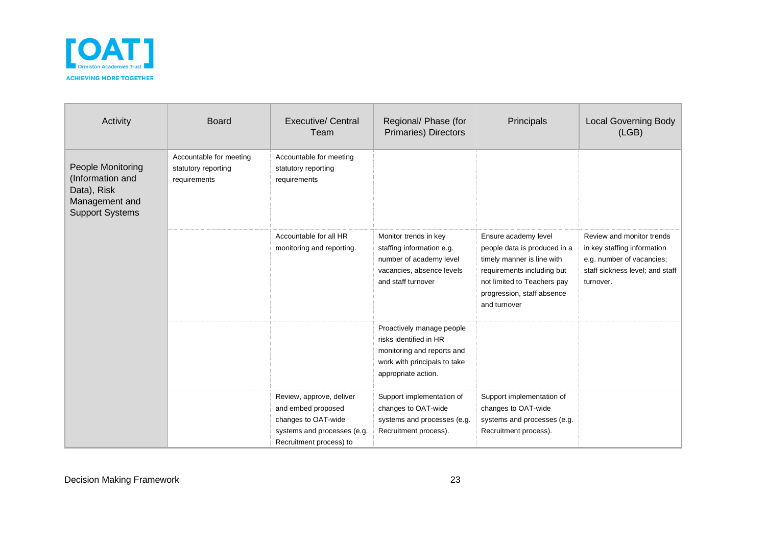

| Activity                                                                                         | <b>Board</b>                                                   | <b>Executive/ Central</b><br>Team                                                                                               | Regional/ Phase (for<br><b>Primaries) Directors</b>                                                                                      | Principals                                                                                                                                                                                    | <b>Local Governing Body</b><br>(LGB)                                                                                                  |
|--------------------------------------------------------------------------------------------------|----------------------------------------------------------------|---------------------------------------------------------------------------------------------------------------------------------|------------------------------------------------------------------------------------------------------------------------------------------|-----------------------------------------------------------------------------------------------------------------------------------------------------------------------------------------------|---------------------------------------------------------------------------------------------------------------------------------------|
| People Monitoring<br>(Information and<br>Data), Risk<br>Management and<br><b>Support Systems</b> | Accountable for meeting<br>statutory reporting<br>requirements | Accountable for meeting<br>statutory reporting<br>requirements                                                                  |                                                                                                                                          |                                                                                                                                                                                               |                                                                                                                                       |
|                                                                                                  |                                                                | Accountable for all HR<br>monitoring and reporting.                                                                             | Monitor trends in key<br>staffing information e.g.<br>number of academy level<br>vacancies, absence levels<br>and staff turnover         | Ensure academy level<br>people data is produced in a<br>timely manner is line with<br>requirements including but<br>not limited to Teachers pay<br>progression, staff absence<br>and turnover | Review and monitor trends<br>in key staffing information<br>e.g. number of vacancies;<br>staff sickness level; and staff<br>turnover. |
|                                                                                                  |                                                                |                                                                                                                                 | Proactively manage people<br>risks identified in HR<br>monitoring and reports and<br>work with principals to take<br>appropriate action. |                                                                                                                                                                                               |                                                                                                                                       |
|                                                                                                  |                                                                | Review, approve, deliver<br>and embed proposed<br>changes to OAT-wide<br>systems and processes (e.g.<br>Recruitment process) to | Support implementation of<br>changes to OAT-wide<br>systems and processes (e.g.<br>Recruitment process).                                 | Support implementation of<br>changes to OAT-wide<br>systems and processes (e.g.<br>Recruitment process).                                                                                      |                                                                                                                                       |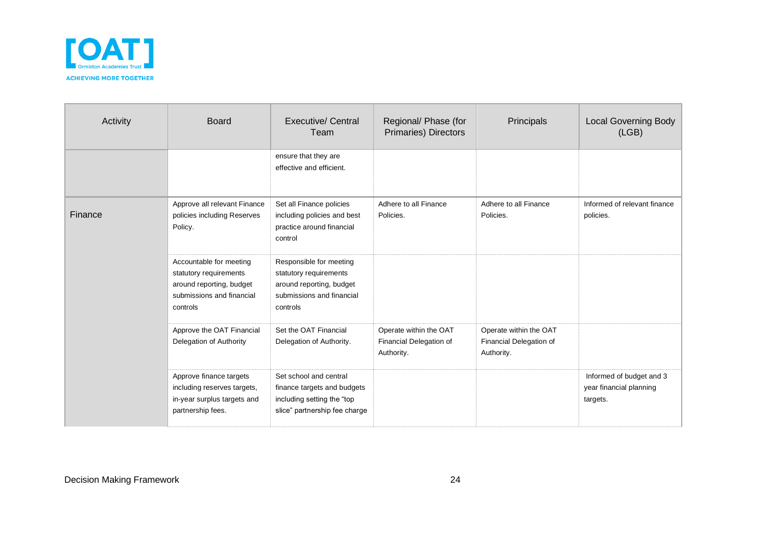

| Activity | <b>Board</b>                                                                                                           | Executive/ Central<br>Team                                                                                             | Regional/ Phase (for<br>Primaries) Directors                    | Principals                                                      | <b>Local Governing Body</b><br>(LGB)                            |
|----------|------------------------------------------------------------------------------------------------------------------------|------------------------------------------------------------------------------------------------------------------------|-----------------------------------------------------------------|-----------------------------------------------------------------|-----------------------------------------------------------------|
|          |                                                                                                                        | ensure that they are<br>effective and efficient.                                                                       |                                                                 |                                                                 |                                                                 |
| Finance  | Approve all relevant Finance<br>policies including Reserves<br>Policy.                                                 | Set all Finance policies<br>including policies and best<br>practice around financial<br>control                        | Adhere to all Finance<br>Policies.                              | Adhere to all Finance<br>Policies.                              | Informed of relevant finance<br>policies.                       |
|          | Accountable for meeting<br>statutory requirements<br>around reporting, budget<br>submissions and financial<br>controls | Responsible for meeting<br>statutory requirements<br>around reporting, budget<br>submissions and financial<br>controls |                                                                 |                                                                 |                                                                 |
|          | Approve the OAT Financial<br>Delegation of Authority                                                                   | Set the OAT Financial<br>Delegation of Authority.                                                                      | Operate within the OAT<br>Financial Delegation of<br>Authority. | Operate within the OAT<br>Financial Delegation of<br>Authority. |                                                                 |
|          | Approve finance targets<br>including reserves targets,<br>in-year surplus targets and<br>partnership fees.             | Set school and central<br>finance targets and budgets<br>including setting the "top<br>slice" partnership fee charge   |                                                                 |                                                                 | Informed of budget and 3<br>year financial planning<br>targets. |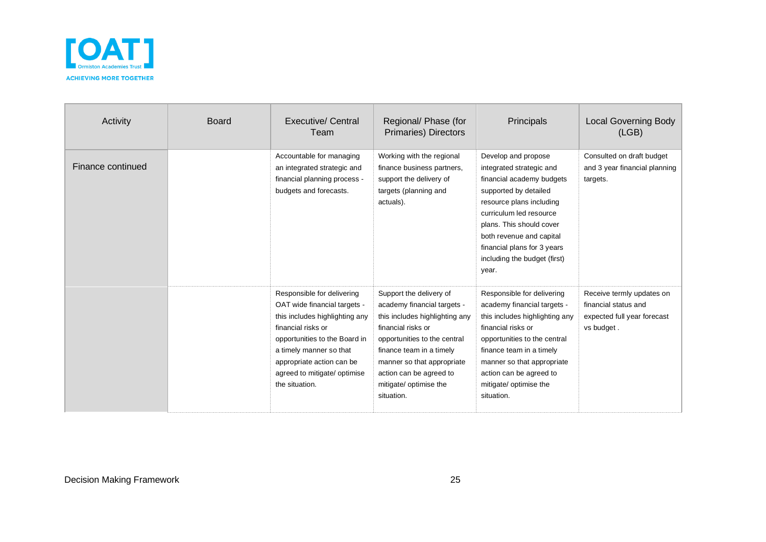

| Activity          | <b>Board</b> | Executive/ Central<br>Team                                                                                                                                                                                                                                    | Regional/ Phase (for<br>Primaries) Directors                                                                                                                                                                                                                                | Principals                                                                                                                                                                                                                                                                                   | <b>Local Governing Body</b><br>(LEB)                                                           |
|-------------------|--------------|---------------------------------------------------------------------------------------------------------------------------------------------------------------------------------------------------------------------------------------------------------------|-----------------------------------------------------------------------------------------------------------------------------------------------------------------------------------------------------------------------------------------------------------------------------|----------------------------------------------------------------------------------------------------------------------------------------------------------------------------------------------------------------------------------------------------------------------------------------------|------------------------------------------------------------------------------------------------|
| Finance continued |              | Accountable for managing<br>an integrated strategic and<br>financial planning process -<br>budgets and forecasts.                                                                                                                                             | Working with the regional<br>finance business partners,<br>support the delivery of<br>targets (planning and<br>actuals).                                                                                                                                                    | Develop and propose<br>integrated strategic and<br>financial academy budgets<br>supported by detailed<br>resource plans including<br>curriculum led resource<br>plans. This should cover<br>both revenue and capital<br>financial plans for 3 years<br>including the budget (first)<br>year. | Consulted on draft budget<br>and 3 year financial planning<br>targets.                         |
|                   |              | Responsible for delivering<br>OAT wide financial targets -<br>this includes highlighting any<br>financial risks or<br>opportunities to the Board in<br>a timely manner so that<br>appropriate action can be<br>agreed to mitigate/ optimise<br>the situation. | Support the delivery of<br>academy financial targets -<br>this includes highlighting any<br>financial risks or<br>opportunities to the central<br>finance team in a timely<br>manner so that appropriate<br>action can be agreed to<br>mitigate/ optimise the<br>situation. | Responsible for delivering<br>academy financial targets -<br>this includes highlighting any<br>financial risks or<br>opportunities to the central<br>finance team in a timely<br>manner so that appropriate<br>action can be agreed to<br>mitigate/ optimise the<br>situation.               | Receive termly updates on<br>financial status and<br>expected full year forecast<br>vs budget. |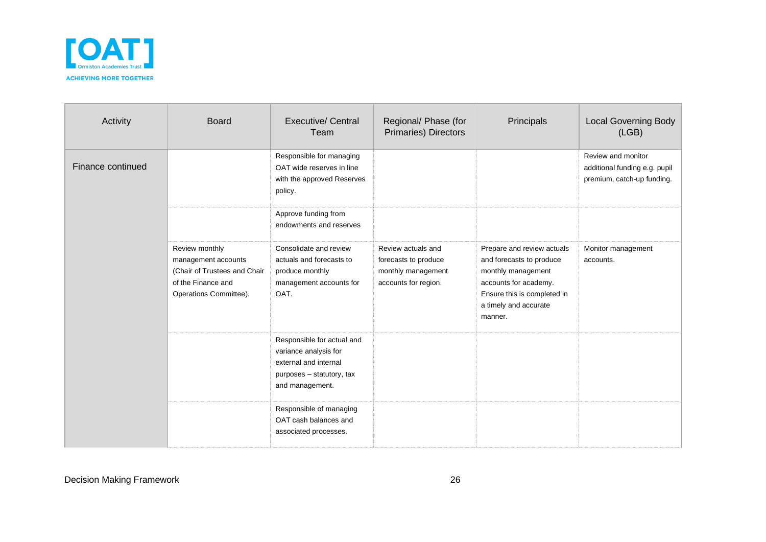

| Activity          | <b>Board</b>                                                                                                          | Executive/ Central<br>Team                                                                                                   | Regional/ Phase (for<br><b>Primaries) Directors</b>                                      | Principals                                                                                                                                                               | <b>Local Governing Body</b><br>(LGB)                                              |
|-------------------|-----------------------------------------------------------------------------------------------------------------------|------------------------------------------------------------------------------------------------------------------------------|------------------------------------------------------------------------------------------|--------------------------------------------------------------------------------------------------------------------------------------------------------------------------|-----------------------------------------------------------------------------------|
| Finance continued |                                                                                                                       | Responsible for managing<br>OAT wide reserves in line<br>with the approved Reserves<br>policy.                               |                                                                                          |                                                                                                                                                                          | Review and monitor<br>additional funding e.g. pupil<br>premium, catch-up funding. |
|                   |                                                                                                                       | Approve funding from<br>endowments and reserves                                                                              |                                                                                          |                                                                                                                                                                          |                                                                                   |
|                   | Review monthly<br>management accounts<br>(Chair of Trustees and Chair<br>of the Finance and<br>Operations Committee). | Consolidate and review<br>actuals and forecasts to<br>produce monthly<br>management accounts for<br>OAT.                     | Review actuals and<br>forecasts to produce<br>monthly management<br>accounts for region. | Prepare and review actuals<br>and forecasts to produce<br>monthly management<br>accounts for academy.<br>Ensure this is completed in<br>a timely and accurate<br>manner. | Monitor management<br>accounts.                                                   |
|                   |                                                                                                                       | Responsible for actual and<br>variance analysis for<br>external and internal<br>purposes - statutory, tax<br>and management. |                                                                                          |                                                                                                                                                                          |                                                                                   |
|                   |                                                                                                                       | Responsible of managing<br>OAT cash balances and<br>associated processes.                                                    |                                                                                          |                                                                                                                                                                          |                                                                                   |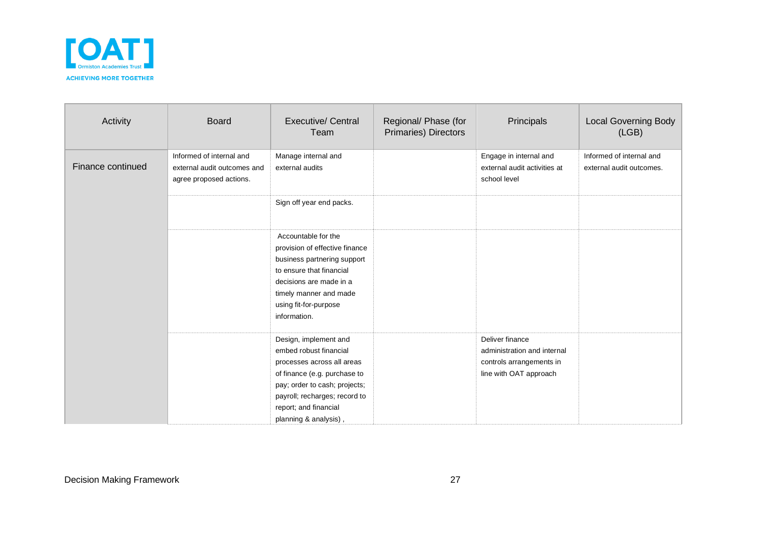

| Activity          | <b>Board</b>                                                                       | <b>Executive/ Central</b><br>Team                                                                                                                                                                                                 | Regional/ Phase (for<br>Primaries) Directors | Principals                                                                                           | <b>Local Governing Body</b><br>(LGB)                 |
|-------------------|------------------------------------------------------------------------------------|-----------------------------------------------------------------------------------------------------------------------------------------------------------------------------------------------------------------------------------|----------------------------------------------|------------------------------------------------------------------------------------------------------|------------------------------------------------------|
| Finance continued | Informed of internal and<br>external audit outcomes and<br>agree proposed actions. | Manage internal and<br>external audits                                                                                                                                                                                            |                                              | Engage in internal and<br>external audit activities at<br>school level                               | Informed of internal and<br>external audit outcomes. |
|                   |                                                                                    | Sign off year end packs.                                                                                                                                                                                                          |                                              |                                                                                                      |                                                      |
|                   |                                                                                    | Accountable for the<br>provision of effective finance<br>business partnering support<br>to ensure that financial<br>decisions are made in a<br>timely manner and made<br>using fit-for-purpose<br>information.                    |                                              |                                                                                                      |                                                      |
|                   |                                                                                    | Design, implement and<br>embed robust financial<br>processes across all areas<br>of finance (e.g. purchase to<br>pay; order to cash; projects;<br>payroll; recharges; record to<br>report; and financial<br>planning & analysis), |                                              | Deliver finance<br>administration and internal<br>controls arrangements in<br>line with OAT approach |                                                      |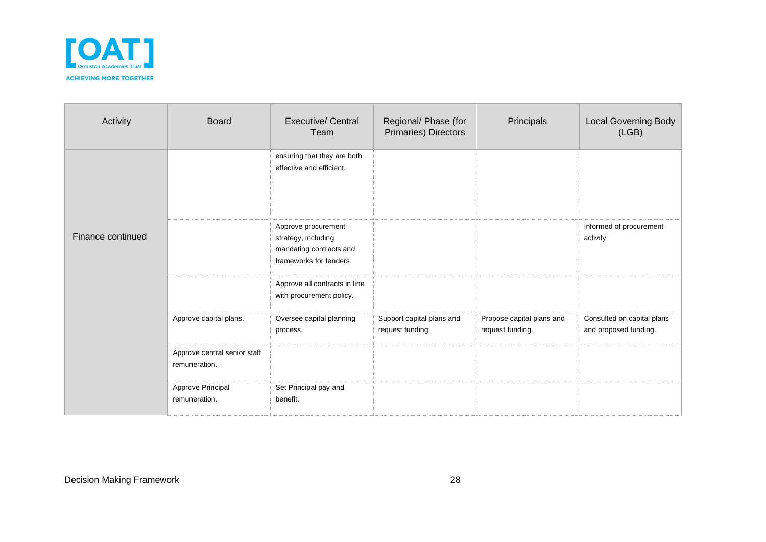

| Activity          | <b>Board</b>                                  | <b>Executive/ Central</b><br>Team                                                                | Regional/ Phase (for<br>Primaries) Directors  | Principals                                    | <b>Local Governing Body</b><br>(LGB)                |
|-------------------|-----------------------------------------------|--------------------------------------------------------------------------------------------------|-----------------------------------------------|-----------------------------------------------|-----------------------------------------------------|
|                   |                                               | ensuring that they are both<br>effective and efficient.                                          |                                               |                                               |                                                     |
| Finance continued |                                               | Approve procurement<br>strategy, including<br>mandating contracts and<br>frameworks for tenders. |                                               |                                               | Informed of procurement<br>activity                 |
|                   |                                               | Approve all contracts in line<br>with procurement policy.                                        |                                               |                                               |                                                     |
|                   | Approve capital plans.                        | Oversee capital planning<br>process.                                                             | Support capital plans and<br>request funding. | Propose capital plans and<br>request funding. | Consulted on capital plans<br>and proposed funding. |
|                   | Approve central senior staff<br>remuneration. |                                                                                                  |                                               |                                               |                                                     |
|                   | Approve Principal<br>remuneration.            | Set Principal pay and<br>benefit.                                                                |                                               |                                               |                                                     |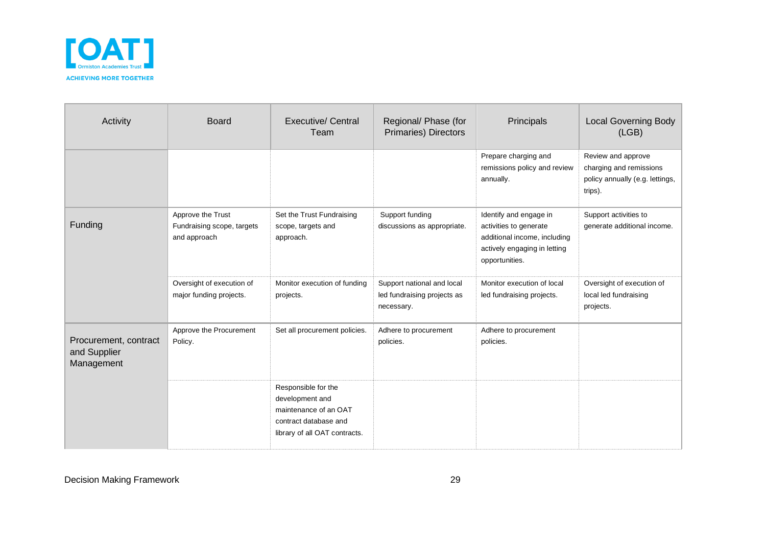

| Activity                                            | <b>Board</b>                                                    | Executive/ Central<br>Team                                                                                                | Regional/ Phase (for<br><b>Primaries) Directors</b>                     | Principals                                                                                                                         | <b>Local Governing Body</b><br>(LGB)                                                        |
|-----------------------------------------------------|-----------------------------------------------------------------|---------------------------------------------------------------------------------------------------------------------------|-------------------------------------------------------------------------|------------------------------------------------------------------------------------------------------------------------------------|---------------------------------------------------------------------------------------------|
|                                                     |                                                                 |                                                                                                                           |                                                                         | Prepare charging and<br>remissions policy and review<br>annually.                                                                  | Review and approve<br>charging and remissions<br>policy annually (e.g. lettings,<br>trips). |
| Funding                                             | Approve the Trust<br>Fundraising scope, targets<br>and approach | Set the Trust Fundraising<br>scope, targets and<br>approach.                                                              | Support funding<br>discussions as appropriate.                          | Identify and engage in<br>activities to generate<br>additional income, including<br>actively engaging in letting<br>opportunities. | Support activities to<br>generate additional income.                                        |
|                                                     | Oversight of execution of<br>major funding projects.            | Monitor execution of funding<br>projects.                                                                                 | Support national and local<br>led fundraising projects as<br>necessary. | Monitor execution of local<br>led fundraising projects.                                                                            | Oversight of execution of<br>local led fundraising<br>projects.                             |
| Procurement, contract<br>and Supplier<br>Management | Approve the Procurement<br>Policy.                              | Set all procurement policies.                                                                                             | Adhere to procurement<br>policies.                                      | Adhere to procurement<br>policies.                                                                                                 |                                                                                             |
|                                                     |                                                                 | Responsible for the<br>development and<br>maintenance of an OAT<br>contract database and<br>library of all OAT contracts. |                                                                         |                                                                                                                                    |                                                                                             |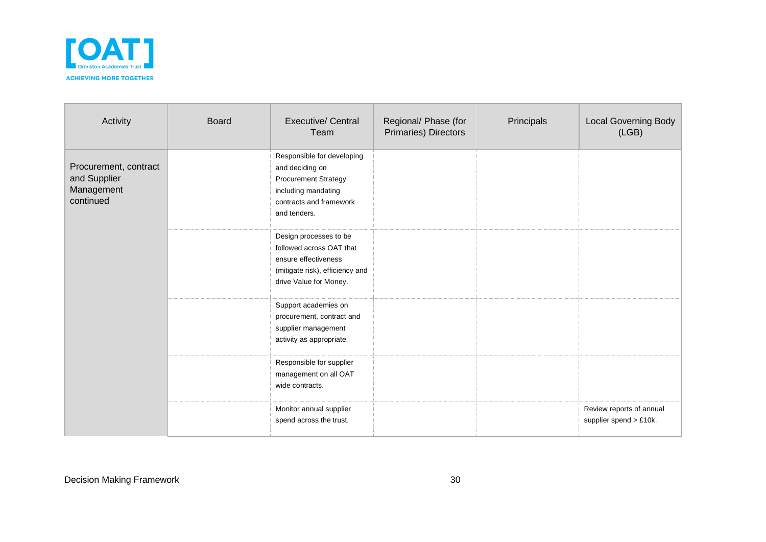

| Activity                                                         | <b>Board</b> | <b>Executive/ Central</b><br>Team                                                                                                              | Regional/ Phase (for<br>Primaries) Directors | Principals | <b>Local Governing Body</b><br>(LGB)               |
|------------------------------------------------------------------|--------------|------------------------------------------------------------------------------------------------------------------------------------------------|----------------------------------------------|------------|----------------------------------------------------|
| Procurement, contract<br>and Supplier<br>Management<br>continued |              | Responsible for developing<br>and deciding on<br><b>Procurement Strategy</b><br>including mandating<br>contracts and framework<br>and tenders. |                                              |            |                                                    |
|                                                                  |              | Design processes to be<br>followed across OAT that<br>ensure effectiveness<br>(mitigate risk), efficiency and<br>drive Value for Money.        |                                              |            |                                                    |
|                                                                  |              | Support academies on<br>procurement, contract and<br>supplier management<br>activity as appropriate.                                           |                                              |            |                                                    |
|                                                                  |              | Responsible for supplier<br>management on all OAT<br>wide contracts.                                                                           |                                              |            |                                                    |
|                                                                  |              | Monitor annual supplier<br>spend across the trust.                                                                                             |                                              |            | Review reports of annual<br>supplier spend > £10k. |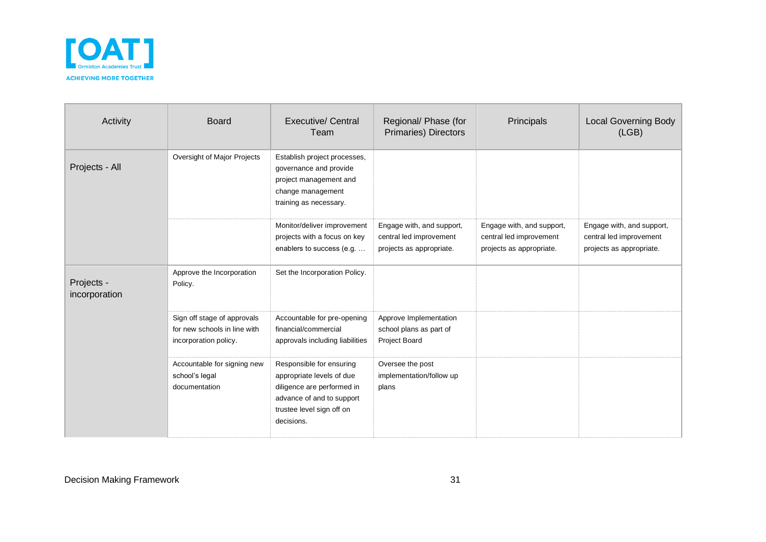

| Activity                    | <b>Board</b>                                                                         | <b>Executive/ Central</b><br>Team                                                                                                                           | Regional/ Phase (for<br>Primaries) Directors                                     | Principals                                                                       | <b>Local Governing Body</b><br>(LGB)                                             |
|-----------------------------|--------------------------------------------------------------------------------------|-------------------------------------------------------------------------------------------------------------------------------------------------------------|----------------------------------------------------------------------------------|----------------------------------------------------------------------------------|----------------------------------------------------------------------------------|
| Projects - All              | Oversight of Major Projects                                                          | Establish project processes,<br>governance and provide<br>project management and<br>change management<br>training as necessary.                             |                                                                                  |                                                                                  |                                                                                  |
|                             |                                                                                      | Monitor/deliver improvement<br>projects with a focus on key<br>enablers to success (e.g.                                                                    | Engage with, and support,<br>central led improvement<br>projects as appropriate. | Engage with, and support,<br>central led improvement<br>projects as appropriate. | Engage with, and support,<br>central led improvement<br>projects as appropriate. |
| Projects -<br>incorporation | Approve the Incorporation<br>Policy.                                                 | Set the Incorporation Policy.                                                                                                                               |                                                                                  |                                                                                  |                                                                                  |
|                             | Sign off stage of approvals<br>for new schools in line with<br>incorporation policy. | Accountable for pre-opening<br>financial/commercial<br>approvals including liabilities                                                                      | Approve Implementation<br>school plans as part of<br>Project Board               |                                                                                  |                                                                                  |
|                             | Accountable for signing new<br>school's legal<br>documentation                       | Responsible for ensuring<br>appropriate levels of due<br>diligence are performed in<br>advance of and to support<br>trustee level sign off on<br>decisions. | Oversee the post<br>implementation/follow up<br>plans                            |                                                                                  |                                                                                  |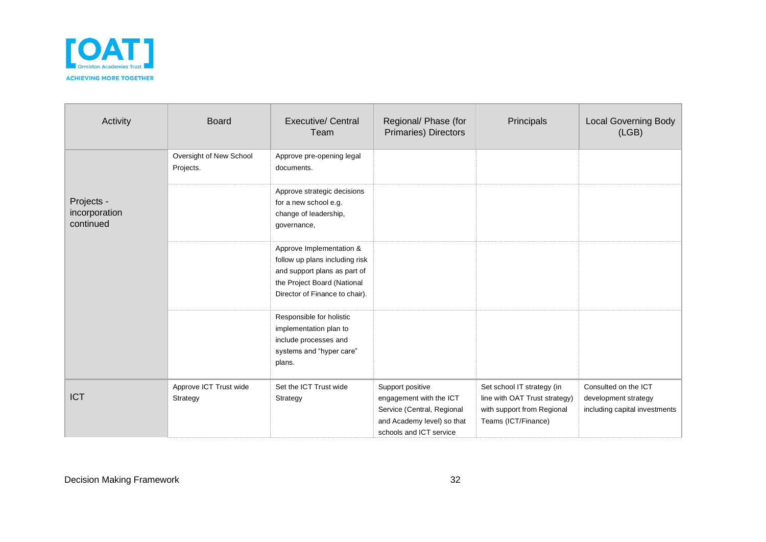

| Activity                                 | <b>Board</b>                         | <b>Executive/ Central</b><br>Team                                                                                                                           | Regional/ Phase (for<br>Primaries) Directors                                                                                       | Principals                                                                                                       | <b>Local Governing Body</b><br>(LGB)                                          |
|------------------------------------------|--------------------------------------|-------------------------------------------------------------------------------------------------------------------------------------------------------------|------------------------------------------------------------------------------------------------------------------------------------|------------------------------------------------------------------------------------------------------------------|-------------------------------------------------------------------------------|
|                                          | Oversight of New School<br>Projects. | Approve pre-opening legal<br>documents.                                                                                                                     |                                                                                                                                    |                                                                                                                  |                                                                               |
| Projects -<br>incorporation<br>continued |                                      | Approve strategic decisions<br>for a new school e.g.<br>change of leadership,<br>governance,                                                                |                                                                                                                                    |                                                                                                                  |                                                                               |
|                                          |                                      | Approve Implementation &<br>follow up plans including risk<br>and support plans as part of<br>the Project Board (National<br>Director of Finance to chair). |                                                                                                                                    |                                                                                                                  |                                                                               |
|                                          |                                      | Responsible for holistic<br>implementation plan to<br>include processes and<br>systems and "hyper care"<br>plans.                                           |                                                                                                                                    |                                                                                                                  |                                                                               |
| <b>ICT</b>                               | Approve ICT Trust wide<br>Strategy   | Set the ICT Trust wide<br>Strategy                                                                                                                          | Support positive<br>engagement with the ICT<br>Service (Central, Regional<br>and Academy level) so that<br>schools and ICT service | Set school IT strategy (in<br>line with OAT Trust strategy)<br>with support from Regional<br>Teams (ICT/Finance) | Consulted on the ICT<br>development strategy<br>including capital investments |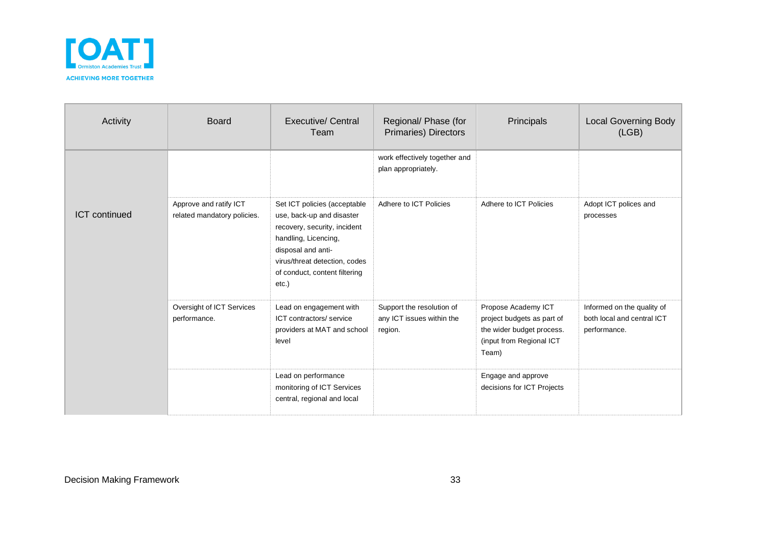

| Activity             | <b>Board</b>                                          | <b>Executive/ Central</b><br>Team                                                                                                                                                                                  | Regional/ Phase (for<br>Primaries) Directors                      | Principals                                                                                                          | <b>Local Governing Body</b><br>(LGB)                                     |
|----------------------|-------------------------------------------------------|--------------------------------------------------------------------------------------------------------------------------------------------------------------------------------------------------------------------|-------------------------------------------------------------------|---------------------------------------------------------------------------------------------------------------------|--------------------------------------------------------------------------|
|                      |                                                       |                                                                                                                                                                                                                    | work effectively together and<br>plan appropriately.              |                                                                                                                     |                                                                          |
| <b>ICT</b> continued | Approve and ratify ICT<br>related mandatory policies. | Set ICT policies (acceptable<br>use, back-up and disaster<br>recovery, security, incident<br>handling, Licencing,<br>disposal and anti-<br>virus/threat detection, codes<br>of conduct, content filtering<br>etc.) | Adhere to ICT Policies                                            | Adhere to ICT Policies                                                                                              | Adopt ICT polices and<br>processes                                       |
|                      | Oversight of ICT Services<br>performance.             | Lead on engagement with<br>ICT contractors/ service<br>providers at MAT and school<br>level                                                                                                                        | Support the resolution of<br>any ICT issues within the<br>region. | Propose Academy ICT<br>project budgets as part of<br>the wider budget process.<br>(input from Regional ICT<br>Team) | Informed on the quality of<br>both local and central ICT<br>performance. |
|                      |                                                       | Lead on performance<br>monitoring of ICT Services<br>central, regional and local                                                                                                                                   |                                                                   | Engage and approve<br>decisions for ICT Projects                                                                    |                                                                          |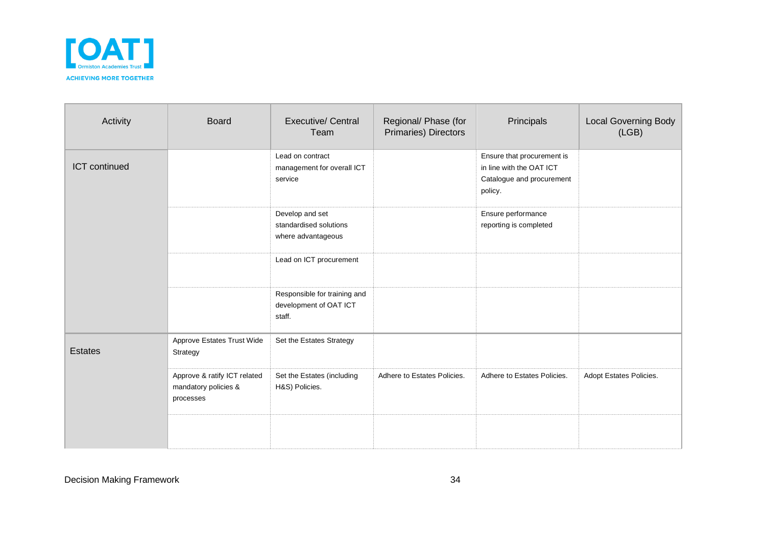

| Activity       | <b>Board</b>                                                      | <b>Executive/ Central</b><br>Team                                | Regional/ Phase (for<br>Primaries) Directors | Principals                                                                                     | <b>Local Governing Body</b><br>(LGB) |
|----------------|-------------------------------------------------------------------|------------------------------------------------------------------|----------------------------------------------|------------------------------------------------------------------------------------------------|--------------------------------------|
| ICT continued  |                                                                   | Lead on contract<br>management for overall ICT<br>service        |                                              | Ensure that procurement is<br>in line with the OAT ICT<br>Catalogue and procurement<br>policy. |                                      |
|                |                                                                   | Develop and set<br>standardised solutions<br>where advantageous  |                                              | Ensure performance<br>reporting is completed                                                   |                                      |
|                |                                                                   | Lead on ICT procurement                                          |                                              |                                                                                                |                                      |
|                |                                                                   | Responsible for training and<br>development of OAT ICT<br>staff. |                                              |                                                                                                |                                      |
| <b>Estates</b> | Approve Estates Trust Wide<br>Strategy                            | Set the Estates Strategy                                         |                                              |                                                                                                |                                      |
|                | Approve & ratify ICT related<br>mandatory policies &<br>processes | Set the Estates (including<br>H&S) Policies.                     | Adhere to Estates Policies.                  | Adhere to Estates Policies.                                                                    | Adopt Estates Policies.              |
|                |                                                                   |                                                                  |                                              |                                                                                                |                                      |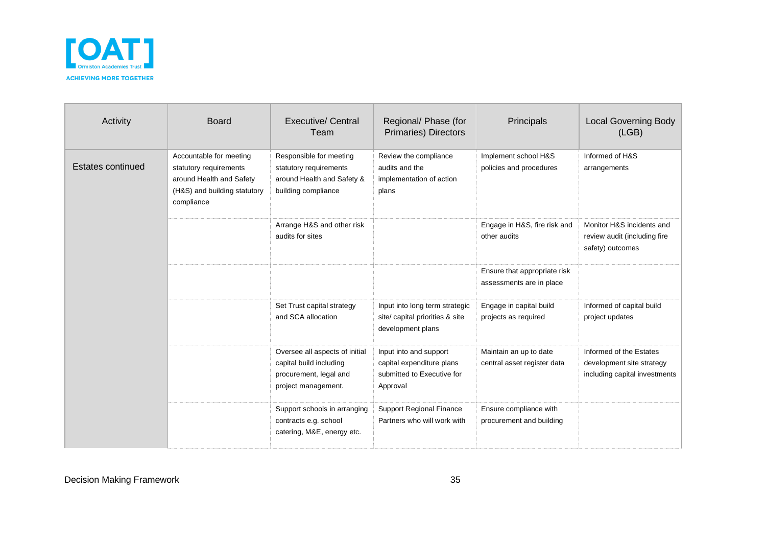

| Activity          | <b>Board</b>                                                                                                                | Executive/ Central<br>Team                                                                                 | Regional/ Phase (for<br><b>Primaries) Directors</b>                                           | Principals                                               | <b>Local Governing Body</b><br>(LGB)                                                  |
|-------------------|-----------------------------------------------------------------------------------------------------------------------------|------------------------------------------------------------------------------------------------------------|-----------------------------------------------------------------------------------------------|----------------------------------------------------------|---------------------------------------------------------------------------------------|
| Estates continued | Accountable for meeting<br>statutory requirements<br>around Health and Safety<br>(H&S) and building statutory<br>compliance | Responsible for meeting<br>statutory requirements<br>around Health and Safety &<br>building compliance     | Review the compliance<br>audits and the<br>implementation of action<br>plans                  | Implement school H&S<br>policies and procedures          | Informed of H&S<br>arrangements                                                       |
|                   |                                                                                                                             | Arrange H&S and other risk<br>audits for sites                                                             |                                                                                               | Engage in H&S, fire risk and<br>other audits             | Monitor H&S incidents and<br>review audit (including fire<br>safety) outcomes         |
|                   |                                                                                                                             |                                                                                                            |                                                                                               | Ensure that appropriate risk<br>assessments are in place |                                                                                       |
|                   |                                                                                                                             | Set Trust capital strategy<br>and SCA allocation                                                           | Input into long term strategic<br>site/ capital priorities & site<br>development plans        | Engage in capital build<br>projects as required          | Informed of capital build<br>project updates                                          |
|                   |                                                                                                                             | Oversee all aspects of initial<br>capital build including<br>procurement, legal and<br>project management. | Input into and support<br>capital expenditure plans<br>submitted to Executive for<br>Approval | Maintain an up to date<br>central asset register data    | Informed of the Estates<br>development site strategy<br>including capital investments |
|                   |                                                                                                                             | Support schools in arranging<br>contracts e.g. school<br>catering, M&E, energy etc.                        | <b>Support Regional Finance</b><br>Partners who will work with                                | Ensure compliance with<br>procurement and building       |                                                                                       |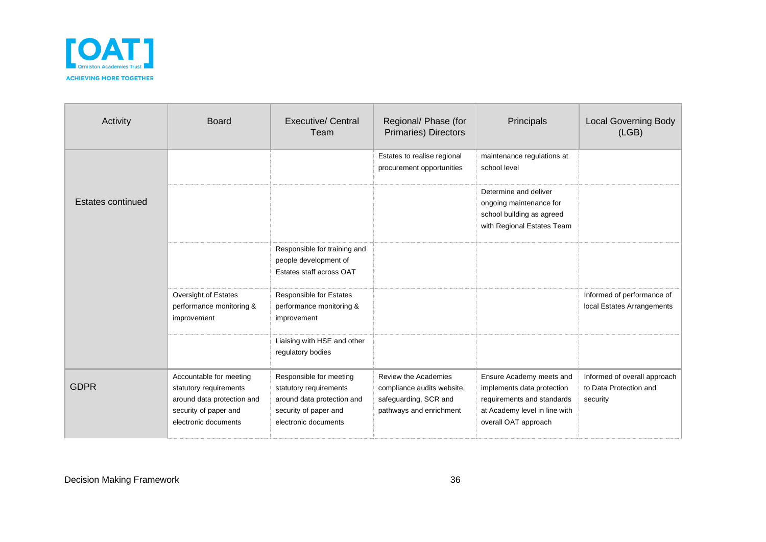

| Activity          | <b>Board</b>                                                                                                                     | <b>Executive/ Central</b><br>Team                                                                                                | Regional/ Phase (for<br><b>Primaries) Directors</b>                                                    | Principals                                                                                                                                    | <b>Local Governing Body</b><br>(LGB)                               |
|-------------------|----------------------------------------------------------------------------------------------------------------------------------|----------------------------------------------------------------------------------------------------------------------------------|--------------------------------------------------------------------------------------------------------|-----------------------------------------------------------------------------------------------------------------------------------------------|--------------------------------------------------------------------|
|                   |                                                                                                                                  |                                                                                                                                  | Estates to realise regional<br>procurement opportunities                                               | maintenance regulations at<br>school level                                                                                                    |                                                                    |
| Estates continued |                                                                                                                                  |                                                                                                                                  |                                                                                                        | Determine and deliver<br>ongoing maintenance for<br>school building as agreed<br>with Regional Estates Team                                   |                                                                    |
|                   |                                                                                                                                  | Responsible for training and<br>people development of<br>Estates staff across OAT                                                |                                                                                                        |                                                                                                                                               |                                                                    |
|                   | Oversight of Estates<br>performance monitoring &<br>improvement                                                                  | <b>Responsible for Estates</b><br>performance monitoring &<br>improvement                                                        |                                                                                                        |                                                                                                                                               | Informed of performance of<br>local Estates Arrangements           |
|                   |                                                                                                                                  | Liaising with HSE and other<br>regulatory bodies                                                                                 |                                                                                                        |                                                                                                                                               |                                                                    |
| <b>GDPR</b>       | Accountable for meeting<br>statutory requirements<br>around data protection and<br>security of paper and<br>electronic documents | Responsible for meeting<br>statutory requirements<br>around data protection and<br>security of paper and<br>electronic documents | Review the Academies<br>compliance audits website,<br>safeguarding, SCR and<br>pathways and enrichment | Ensure Academy meets and<br>implements data protection<br>requirements and standards<br>at Academy level in line with<br>overall OAT approach | Informed of overall approach<br>to Data Protection and<br>security |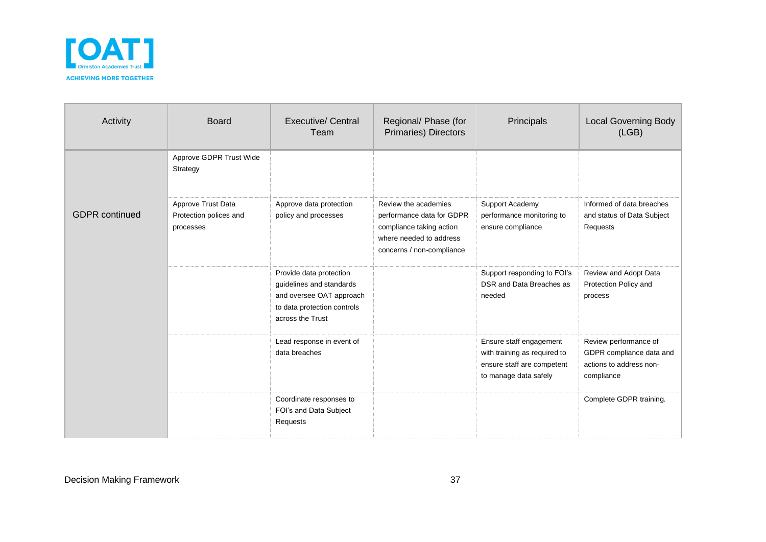

| Activity              | <b>Board</b>                                              | Executive/ Central<br>Team                                                                                                         | Regional/ Phase (for<br>Primaries) Directors                                                                                          | Principals                                                                                                     | <b>Local Governing Body</b><br>(LGB)                                                       |
|-----------------------|-----------------------------------------------------------|------------------------------------------------------------------------------------------------------------------------------------|---------------------------------------------------------------------------------------------------------------------------------------|----------------------------------------------------------------------------------------------------------------|--------------------------------------------------------------------------------------------|
|                       | Approve GDPR Trust Wide<br>Strategy                       |                                                                                                                                    |                                                                                                                                       |                                                                                                                |                                                                                            |
| <b>GDPR</b> continued | Approve Trust Data<br>Protection polices and<br>processes | Approve data protection<br>policy and processes                                                                                    | Review the academies<br>performance data for GDPR<br>compliance taking action<br>where needed to address<br>concerns / non-compliance | Support Academy<br>performance monitoring to<br>ensure compliance                                              | Informed of data breaches<br>and status of Data Subject<br>Requests                        |
|                       |                                                           | Provide data protection<br>guidelines and standards<br>and oversee OAT approach<br>to data protection controls<br>across the Trust |                                                                                                                                       | Support responding to FOI's<br>DSR and Data Breaches as<br>needed                                              | Review and Adopt Data<br>Protection Policy and<br>process                                  |
|                       |                                                           | Lead response in event of<br>data breaches                                                                                         |                                                                                                                                       | Ensure staff engagement<br>with training as required to<br>ensure staff are competent<br>to manage data safely | Review performance of<br>GDPR compliance data and<br>actions to address non-<br>compliance |
|                       |                                                           | Coordinate responses to<br>FOI's and Data Subject<br>Requests                                                                      |                                                                                                                                       |                                                                                                                | Complete GDPR training.                                                                    |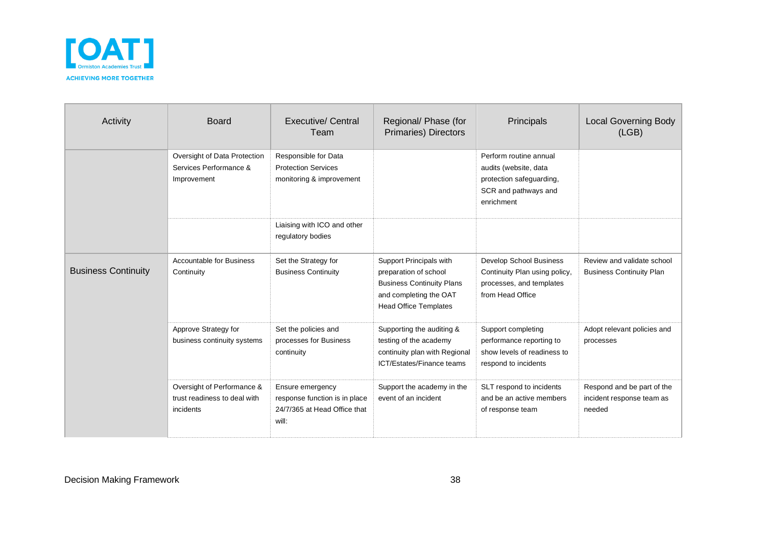

| Activity                   | <b>Board</b>                                                            | <b>Executive/ Central</b><br>Team                                                          | Regional/ Phase (for<br>Primaries) Directors                                                                                                   | Principals                                                                                                        | <b>Local Governing Body</b><br>(LEB)                              |
|----------------------------|-------------------------------------------------------------------------|--------------------------------------------------------------------------------------------|------------------------------------------------------------------------------------------------------------------------------------------------|-------------------------------------------------------------------------------------------------------------------|-------------------------------------------------------------------|
|                            | Oversight of Data Protection<br>Services Performance &<br>Improvement   | Responsible for Data<br><b>Protection Services</b><br>monitoring & improvement             |                                                                                                                                                | Perform routine annual<br>audits (website, data<br>protection safeguarding,<br>SCR and pathways and<br>enrichment |                                                                   |
|                            |                                                                         | Liaising with ICO and other<br>regulatory bodies                                           |                                                                                                                                                |                                                                                                                   |                                                                   |
| <b>Business Continuity</b> | <b>Accountable for Business</b><br>Continuity                           | Set the Strategy for<br><b>Business Continuity</b>                                         | Support Principals with<br>preparation of school<br><b>Business Continuity Plans</b><br>and completing the OAT<br><b>Head Office Templates</b> | Develop School Business<br>Continuity Plan using policy,<br>processes, and templates<br>from Head Office          | Review and validate school<br><b>Business Continuity Plan</b>     |
|                            | Approve Strategy for<br>business continuity systems                     | Set the policies and<br>processes for Business<br>continuity                               | Supporting the auditing &<br>testing of the academy<br>continuity plan with Regional<br>ICT/Estates/Finance teams                              | Support completing<br>performance reporting to<br>show levels of readiness to<br>respond to incidents             | Adopt relevant policies and<br>processes                          |
|                            | Oversight of Performance &<br>trust readiness to deal with<br>incidents | Ensure emergency<br>response function is in place<br>24/7/365 at Head Office that<br>will: | Support the academy in the<br>event of an incident                                                                                             | SLT respond to incidents<br>and be an active members<br>of response team                                          | Respond and be part of the<br>incident response team as<br>needed |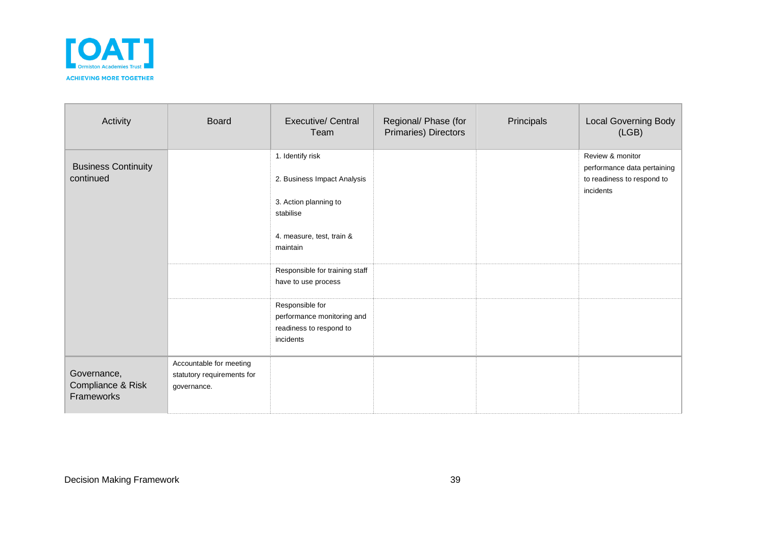

| Activity                                       | <b>Board</b>                                                         | <b>Executive/ Central</b><br>Team                                                                                                                                                                                                                                                | Regional/ Phase (for<br>Primaries) Directors | Principals | <b>Local Governing Body</b><br>(LGB)                                                       |
|------------------------------------------------|----------------------------------------------------------------------|----------------------------------------------------------------------------------------------------------------------------------------------------------------------------------------------------------------------------------------------------------------------------------|----------------------------------------------|------------|--------------------------------------------------------------------------------------------|
| <b>Business Continuity</b><br>continued        |                                                                      | 1. Identify risk<br>2. Business Impact Analysis<br>3. Action planning to<br>stabilise<br>4. measure, test, train &<br>maintain<br>Responsible for training staff<br>have to use process<br>Responsible for<br>performance monitoring and<br>readiness to respond to<br>incidents |                                              |            | Review & monitor<br>performance data pertaining<br>to readiness to respond to<br>incidents |
| Governance,<br>Compliance & Risk<br>Frameworks | Accountable for meeting<br>statutory requirements for<br>governance. |                                                                                                                                                                                                                                                                                  |                                              |            |                                                                                            |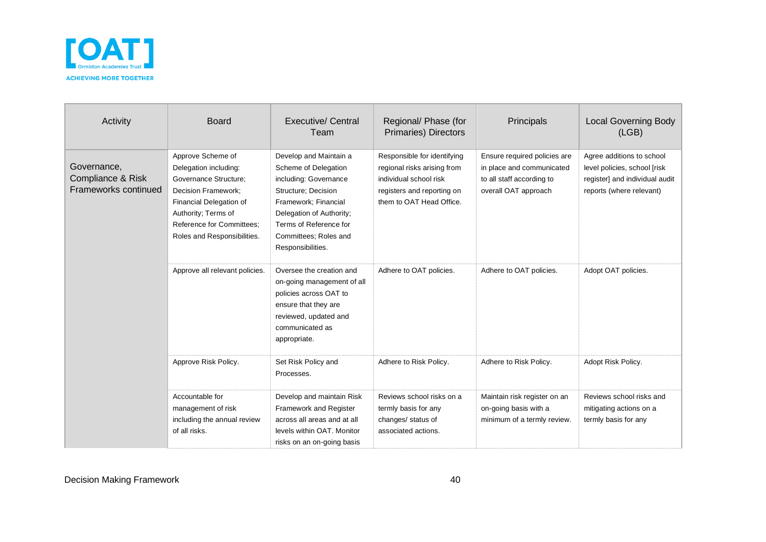

| Activity                                                 | <b>Board</b>                                                                                                                                                                                                           | <b>Executive/ Central</b><br>Team                                                                                                                                                                                          | Regional/ Phase (for<br><b>Primaries) Directors</b>                                                                                            | Principals                                                                                                     | <b>Local Governing Body</b><br>(LGB)                                                                                    |
|----------------------------------------------------------|------------------------------------------------------------------------------------------------------------------------------------------------------------------------------------------------------------------------|----------------------------------------------------------------------------------------------------------------------------------------------------------------------------------------------------------------------------|------------------------------------------------------------------------------------------------------------------------------------------------|----------------------------------------------------------------------------------------------------------------|-------------------------------------------------------------------------------------------------------------------------|
| Governance,<br>Compliance & Risk<br>Frameworks continued | Approve Scheme of<br>Delegation including:<br>Governance Structure;<br><b>Decision Framework:</b><br>Financial Delegation of<br>Authority; Terms of<br><b>Reference for Committees:</b><br>Roles and Responsibilities. | Develop and Maintain a<br>Scheme of Delegation<br>including: Governance<br>Structure; Decision<br>Framework; Financial<br>Delegation of Authority;<br>Terms of Reference for<br>Committees: Roles and<br>Responsibilities. | Responsible for identifying<br>regional risks arising from<br>individual school risk<br>registers and reporting on<br>them to OAT Head Office. | Ensure required policies are<br>in place and communicated<br>to all staff according to<br>overall OAT approach | Agree additions to school<br>level policies, school [risk<br>register] and individual audit<br>reports (where relevant) |
|                                                          | Approve all relevant policies.                                                                                                                                                                                         | Oversee the creation and<br>on-going management of all<br>policies across OAT to<br>ensure that they are<br>reviewed, updated and<br>communicated as<br>appropriate.                                                       | Adhere to OAT policies.                                                                                                                        | Adhere to OAT policies.                                                                                        | Adopt OAT policies.                                                                                                     |
|                                                          | Approve Risk Policy.                                                                                                                                                                                                   | Set Risk Policy and<br>Processes.                                                                                                                                                                                          | Adhere to Risk Policy.                                                                                                                         | Adhere to Risk Policy.                                                                                         | Adopt Risk Policy.                                                                                                      |
|                                                          | Accountable for<br>management of risk<br>including the annual review<br>of all risks.                                                                                                                                  | Develop and maintain Risk<br><b>Framework and Register</b><br>across all areas and at all<br>levels within OAT. Monitor<br>risks on an on-going basis                                                                      | Reviews school risks on a<br>termly basis for any<br>changes/ status of<br>associated actions.                                                 | Maintain risk register on an<br>on-going basis with a<br>minimum of a termly review.                           | Reviews school risks and<br>mitigating actions on a<br>termly basis for any                                             |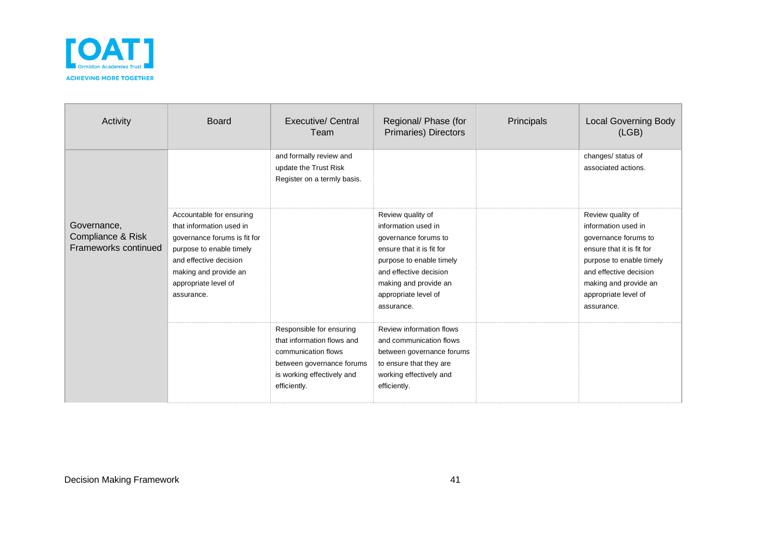

| Activity                                                 | <b>Board</b>                                                                                                                                                                                              | Executive/ Central<br>Team                                                                                                                               | Regional/ Phase (for<br>Primaries) Directors                                                                                                                                                                       | Principals | <b>Local Governing Body</b><br>(LGB)                                                                                                                                                                               |
|----------------------------------------------------------|-----------------------------------------------------------------------------------------------------------------------------------------------------------------------------------------------------------|----------------------------------------------------------------------------------------------------------------------------------------------------------|--------------------------------------------------------------------------------------------------------------------------------------------------------------------------------------------------------------------|------------|--------------------------------------------------------------------------------------------------------------------------------------------------------------------------------------------------------------------|
| Governance,<br>Compliance & Risk<br>Frameworks continued |                                                                                                                                                                                                           | and formally review and<br>update the Trust Risk<br>Register on a termly basis.                                                                          |                                                                                                                                                                                                                    |            | changes/ status of<br>associated actions.                                                                                                                                                                          |
|                                                          | Accountable for ensuring<br>that information used in<br>governance forums is fit for<br>purpose to enable timely<br>and effective decision<br>making and provide an<br>appropriate level of<br>assurance. |                                                                                                                                                          | Review quality of<br>information used in<br>governance forums to<br>ensure that it is fit for<br>purpose to enable timely<br>and effective decision<br>making and provide an<br>appropriate level of<br>assurance. |            | Review quality of<br>information used in<br>governance forums to<br>ensure that it is fit for<br>purpose to enable timely<br>and effective decision<br>making and provide an<br>appropriate level of<br>assurance. |
|                                                          |                                                                                                                                                                                                           | Responsible for ensuring<br>that information flows and<br>communication flows<br>between governance forums<br>is working effectively and<br>efficiently. | Review information flows<br>and communication flows<br>between governance forums<br>to ensure that they are<br>working effectively and<br>efficiently.                                                             |            |                                                                                                                                                                                                                    |